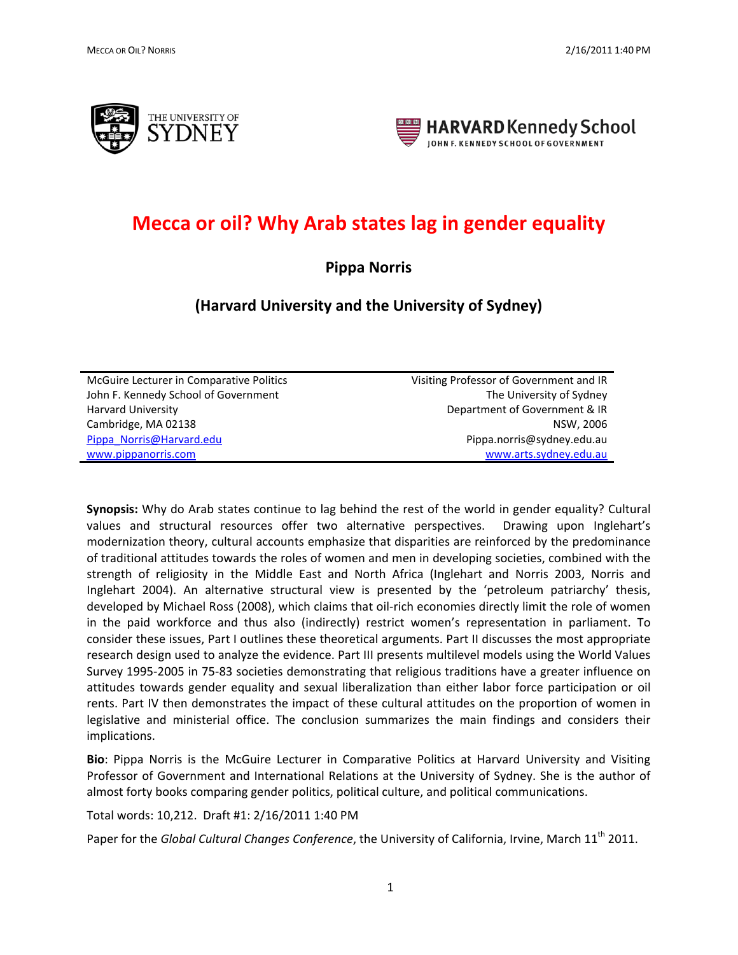



# **Mecca or oil? Why Arab states lag in gender equality**

## **Pippa Norris**

## **(Harvard University and the University of Sydney)**

McGuire Lecturer in Comparative Politics Visiting Professor of Government and IR John F. Kennedy School of Government The University of Sydney Harvard University **Example 20 and Tarry Control** Department of Government & IR Cambridge, MA 02138 NSW, 2006 Pippa\_Norris@Harvard.edu etc. edu Pippa.norris@sydney.edu.au Pippa.norris@sydney.edu.au www.pippanorris.com **www.pippanorris.com** www.arts.sydney.edu.au

**Synopsis:** Why do Arab states continue to lag behind the rest of the world in gender equality? Cultural values and structural resources offer two alternative perspectives. Drawing upon Inglehart's modernization theory, cultural accounts emphasize that disparities are reinforced by the predominance of traditional attitudes towards the roles of women and men in developing societies, combined with the strength of religiosity in the Middle East and North Africa (Inglehart and Norris 2003, Norris and Inglehart 2004). An alternative structural view is presented by the 'petroleum patriarchy' thesis, developed by Michael Ross (2008), which claims that oil‐rich economies directly limit the role of women in the paid workforce and thus also (indirectly) restrict women's representation in parliament. To consider these issues, Part I outlines these theoretical arguments. Part II discusses the most appropriate research design used to analyze the evidence. Part III presents multilevel models using the World Values Survey 1995‐2005 in 75‐83 societies demonstrating that religious traditions have a greater influence on attitudes towards gender equality and sexual liberalization than either labor force participation or oil rents. Part IV then demonstrates the impact of these cultural attitudes on the proportion of women in legislative and ministerial office. The conclusion summarizes the main findings and considers their implications.

**Bio**: Pippa Norris is the McGuire Lecturer in Comparative Politics at Harvard University and Visiting Professor of Government and International Relations at the University of Sydney. She is the author of almost forty books comparing gender politics, political culture, and political communications.

Total words: 10,212. Draft #1: 2/16/2011 1:40 PM

Paper for the *Global Cultural Changes Conference*, the University of California, Irvine, March 11th 2011.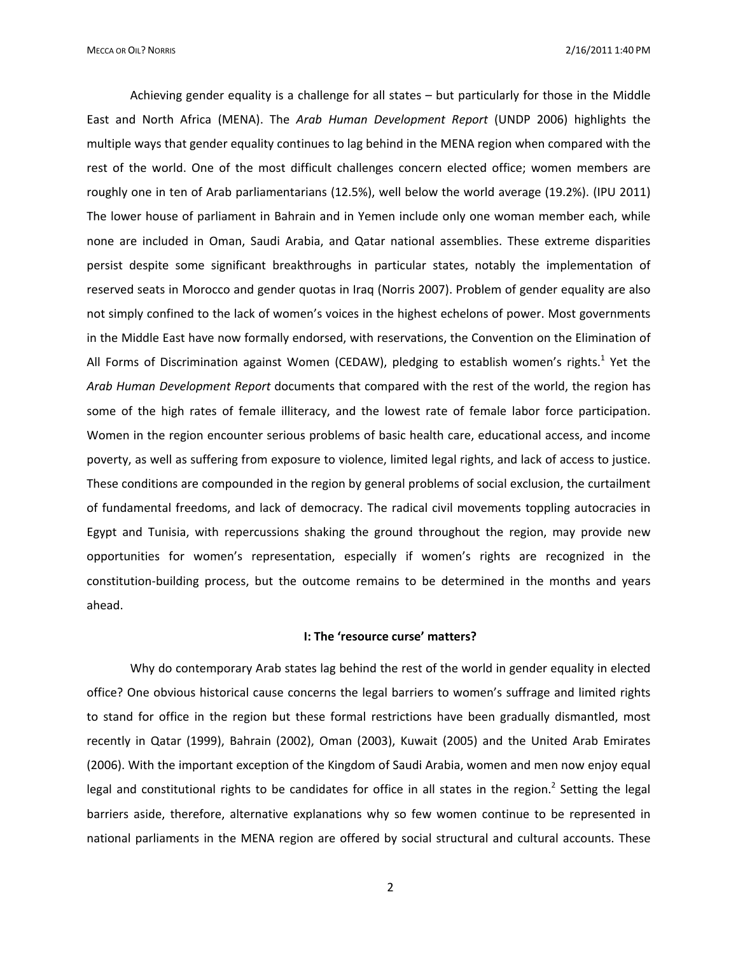المستقبل المستقبل المستقبل المستقبل المستقبل المستقبل المستقبل المستقبل المستقبل المستقبل المستقبل المستقبل ال<br>المستقبل المستقبل المستقبل المستقبل المستقبل المستقبل المستقبل المستقبل المستقبل المستقبل المستقبل المستقبل ال

Achieving gender equality is a challenge for all states – but particularly for those in the Middle East and North Africa (MENA). The *Arab Human Development Report* (UNDP 2006) highlights the multiple ways that gender equality continues to lag behind in the MENA region when compared with the rest of the world. One of the most difficult challenges concern elected office; women members are roughly one in ten of Arab parliamentarians (12.5%), well below the world average (19.2%). (IPU 2011) The lower house of parliament in Bahrain and in Yemen include only one woman member each, while none are included in Oman, Saudi Arabia, and Qatar national assemblies. These extreme disparities persist despite some significant breakthroughs in particular states, notably the implementation of reserved seats in Morocco and gender quotas in Iraq (Norris 2007). Problem of gender equality are also not simply confined to the lack of women's voices in the highest echelons of power. Most governments in the Middle East have now formally endorsed, with reservations, the Convention on the Elimination of All Forms of Discrimination against Women (CEDAW), pledging to establish women's rights.<sup>1</sup> Yet the *Arab Human Development Report* documents that compared with the rest of the world, the region has some of the high rates of female illiteracy, and the lowest rate of female labor force participation. Women in the region encounter serious problems of basic health care, educational access, and income poverty, as well as suffering from exposure to violence, limited legal rights, and lack of access to justice. These conditions are compounded in the region by general problems of social exclusion, the curtailment of fundamental freedoms, and lack of democracy. The radical civil movements toppling autocracies in Egypt and Tunisia, with repercussions shaking the ground throughout the region, may provide new opportunities for women's representation, especially if women's rights are recognized in the constitution‐building process, but the outcome remains to be determined in the months and years ahead.

#### **I: The 'resource curse' matters?**

Why do contemporary Arab states lag behind the rest of the world in gender equality in elected office? One obvious historical cause concerns the legal barriers to women's suffrage and limited rights to stand for office in the region but these formal restrictions have been gradually dismantled, most recently in Qatar (1999), Bahrain (2002), Oman (2003), Kuwait (2005) and the United Arab Emirates (2006). With the important exception of the Kingdom of Saudi Arabia, women and men now enjoy equal legal and constitutional rights to be candidates for office in all states in the region.<sup>2</sup> Setting the legal barriers aside, therefore, alternative explanations why so few women continue to be represented in national parliaments in the MENA region are offered by social structural and cultural accounts. These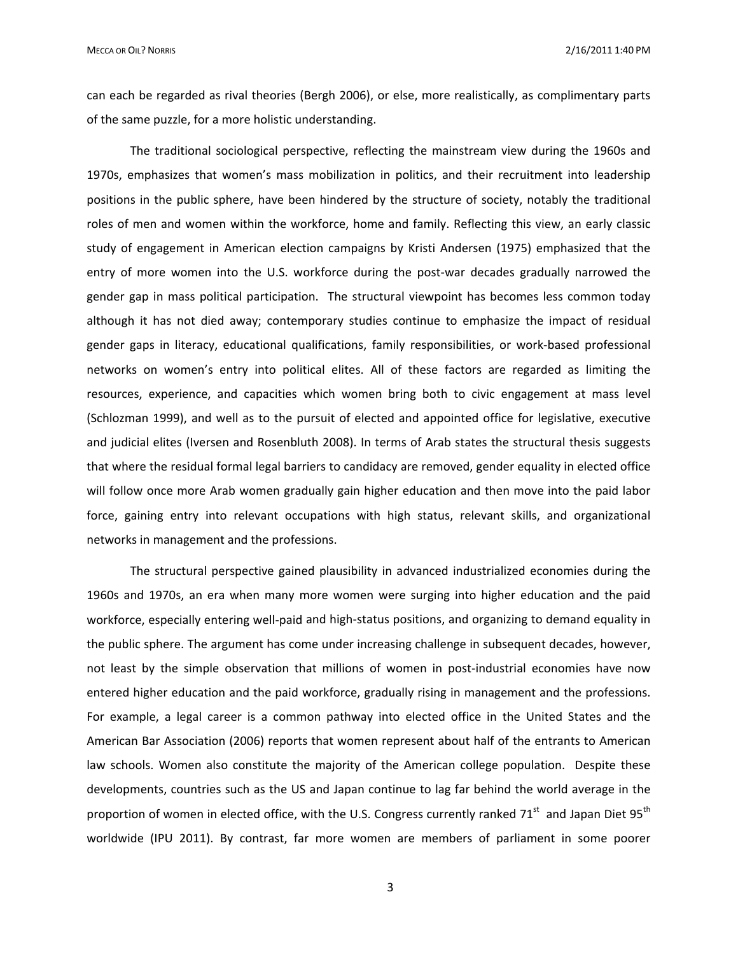can each be regarded as rival theories (Bergh 2006), or else, more realistically, as complimentary parts of the same puzzle, for a more holistic understanding.

The traditional sociological perspective, reflecting the mainstream view during the 1960s and 1970s, emphasizes that women's mass mobilization in politics, and their recruitment into leadership positions in the public sphere, have been hindered by the structure of society, notably the traditional roles of men and women within the workforce, home and family. Reflecting this view, an early classic study of engagement in American election campaigns by Kristi Andersen (1975) emphasized that the entry of more women into the U.S. workforce during the post-war decades gradually narrowed the gender gap in mass political participation. The structural viewpoint has becomes less common today although it has not died away; contemporary studies continue to emphasize the impact of residual gender gaps in literacy, educational qualifications, family responsibilities, or work‐based professional networks on women's entry into political elites. All of these factors are regarded as limiting the resources, experience, and capacities which women bring both to civic engagement at mass level (Schlozman 1999), and well as to the pursuit of elected and appointed office for legislative, executive and judicial elites (Iversen and Rosenbluth 2008). In terms of Arab states the structural thesis suggests that where the residual formal legal barriers to candidacy are removed, gender equality in elected office will follow once more Arab women gradually gain higher education and then move into the paid labor force, gaining entry into relevant occupations with high status, relevant skills, and organizational networks in management and the professions.

The structural perspective gained plausibility in advanced industrialized economies during the 1960s and 1970s, an era when many more women were surging into higher education and the paid workforce, especially entering well-paid and high-status positions, and organizing to demand equality in the public sphere. The argument has come under increasing challenge in subsequent decades, however, not least by the simple observation that millions of women in post-industrial economies have now entered higher education and the paid workforce, gradually rising in management and the professions. For example, a legal career is a common pathway into elected office in the United States and the American Bar Association (2006) reports that women represent about half of the entrants to American law schools. Women also constitute the majority of the American college population. Despite these developments, countries such as the US and Japan continue to lag far behind the world average in the proportion of women in elected office, with the U.S. Congress currently ranked 71<sup>st</sup> and Japan Diet 95<sup>th</sup> worldwide (IPU 2011). By contrast, far more women are members of parliament in some poorer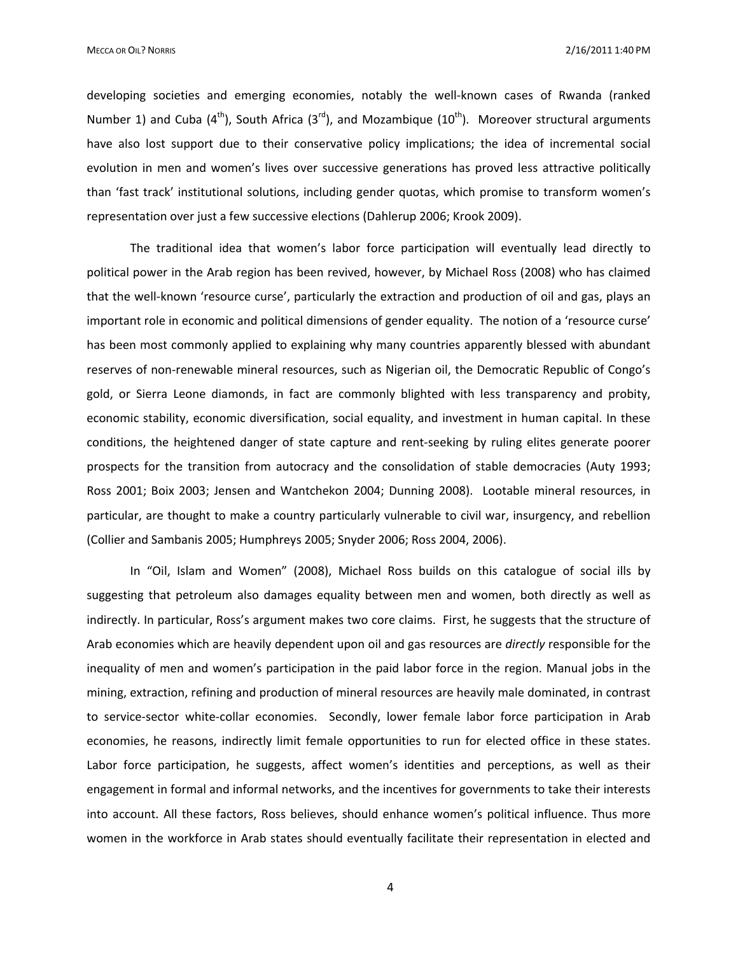developing societies and emerging economies, notably the well‐known cases of Rwanda (ranked Number 1) and Cuba  $(4^{th})$ , South Africa  $(3^{rd})$ , and Mozambique  $(10^{th})$ . Moreover structural arguments have also lost support due to their conservative policy implications; the idea of incremental social evolution in men and women's lives over successive generations has proved less attractive politically than 'fast track' institutional solutions, including gender quotas, which promise to transform women's representation over just a few successive elections (Dahlerup 2006; Krook 2009).

The traditional idea that women's labor force participation will eventually lead directly to political power in the Arab region has been revived, however, by Michael Ross (2008) who has claimed that the well‐known 'resource curse', particularly the extraction and production of oil and gas, plays an important role in economic and political dimensions of gender equality. The notion of a 'resource curse' has been most commonly applied to explaining why many countries apparently blessed with abundant reserves of non-renewable mineral resources, such as Nigerian oil, the Democratic Republic of Congo's gold, or Sierra Leone diamonds, in fact are commonly blighted with less transparency and probity, economic stability, economic diversification, social equality, and investment in human capital. In these conditions, the heightened danger of state capture and rent‐seeking by ruling elites generate poorer prospects for the transition from autocracy and the consolidation of stable democracies (Auty 1993; Ross 2001; Boix 2003; Jensen and Wantchekon 2004; Dunning 2008). Lootable mineral resources, in particular, are thought to make a country particularly vulnerable to civil war, insurgency, and rebellion (Collier and Sambanis 2005; Humphreys 2005; Snyder 2006; Ross 2004, 2006).

In "Oil, Islam and Women" (2008), Michael Ross builds on this catalogue of social ills by suggesting that petroleum also damages equality between men and women, both directly as well as indirectly. In particular, Ross's argument makes two core claims. First, he suggests that the structure of Arab economies which are heavily dependent upon oil and gas resources are *directly* responsible for the inequality of men and women's participation in the paid labor force in the region. Manual jobs in the mining, extraction, refining and production of mineral resources are heavily male dominated, in contrast to service-sector white-collar economies. Secondly, lower female labor force participation in Arab economies, he reasons, indirectly limit female opportunities to run for elected office in these states. Labor force participation, he suggests, affect women's identities and perceptions, as well as their engagement in formal and informal networks, and the incentives for governments to take their interests into account. All these factors, Ross believes, should enhance women's political influence. Thus more women in the workforce in Arab states should eventually facilitate their representation in elected and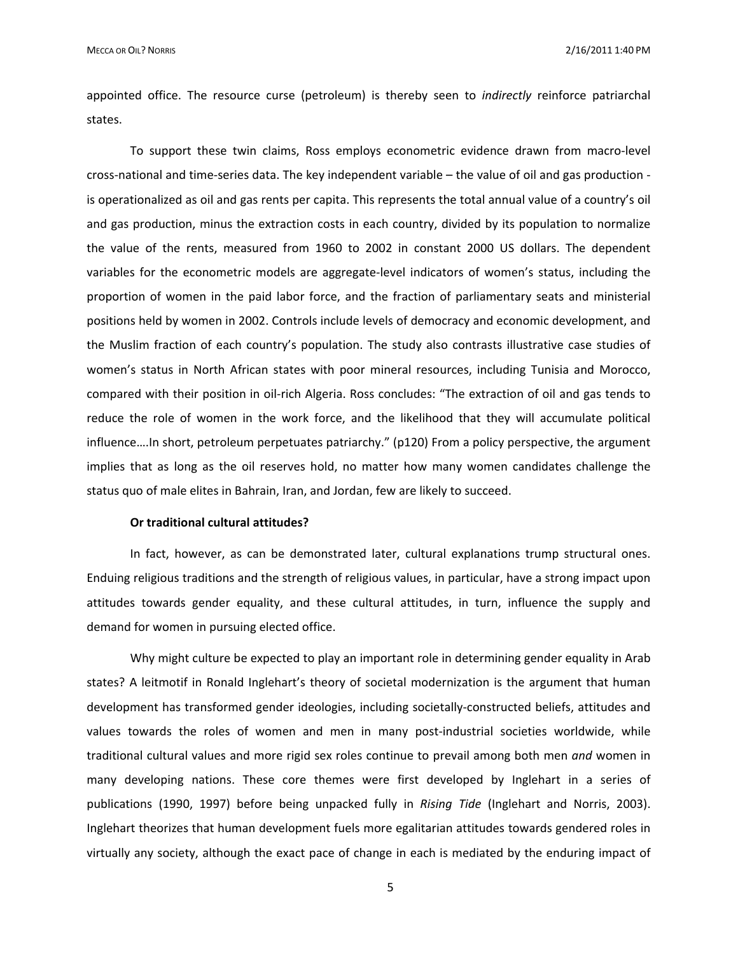appointed office. The resource curse (petroleum) is thereby seen to *indirectly* reinforce patriarchal states.

To support these twin claims, Ross employs econometric evidence drawn from macro‐level cross‐national and time‐series data. The key independent variable – the value of oil and gas production ‐ is operationalized as oil and gas rents per capita. This represents the total annual value of a country's oil and gas production, minus the extraction costs in each country, divided by its population to normalize the value of the rents, measured from 1960 to 2002 in constant 2000 US dollars. The dependent variables for the econometric models are aggregate‐level indicators of women's status, including the proportion of women in the paid labor force, and the fraction of parliamentary seats and ministerial positions held by women in 2002. Controls include levels of democracy and economic development, and the Muslim fraction of each country's population. The study also contrasts illustrative case studies of women's status in North African states with poor mineral resources, including Tunisia and Morocco, compared with their position in oil‐rich Algeria. Ross concludes: "The extraction of oil and gas tends to reduce the role of women in the work force, and the likelihood that they will accumulate political influence….In short, petroleum perpetuates patriarchy." (p120) From a policy perspective, the argument implies that as long as the oil reserves hold, no matter how many women candidates challenge the status quo of male elites in Bahrain, Iran, and Jordan, few are likely to succeed.

#### **Or traditional cultural attitudes?**

In fact, however, as can be demonstrated later, cultural explanations trump structural ones. Enduing religious traditions and the strength of religious values, in particular, have a strong impact upon attitudes towards gender equality, and these cultural attitudes, in turn, influence the supply and demand for women in pursuing elected office.

Why might culture be expected to play an important role in determining gender equality in Arab states? A leitmotif in Ronald Inglehart's theory of societal modernization is the argument that human development has transformed gender ideologies, including societally‐constructed beliefs, attitudes and values towards the roles of women and men in many post-industrial societies worldwide, while traditional cultural values and more rigid sex roles continue to prevail among both men *and* women in many developing nations. These core themes were first developed by Inglehart in a series of publications (1990, 1997) before being unpacked fully in *Rising Tide* (Inglehart and Norris, 2003). Inglehart theorizes that human development fuels more egalitarian attitudes towards gendered roles in virtually any society, although the exact pace of change in each is mediated by the enduring impact of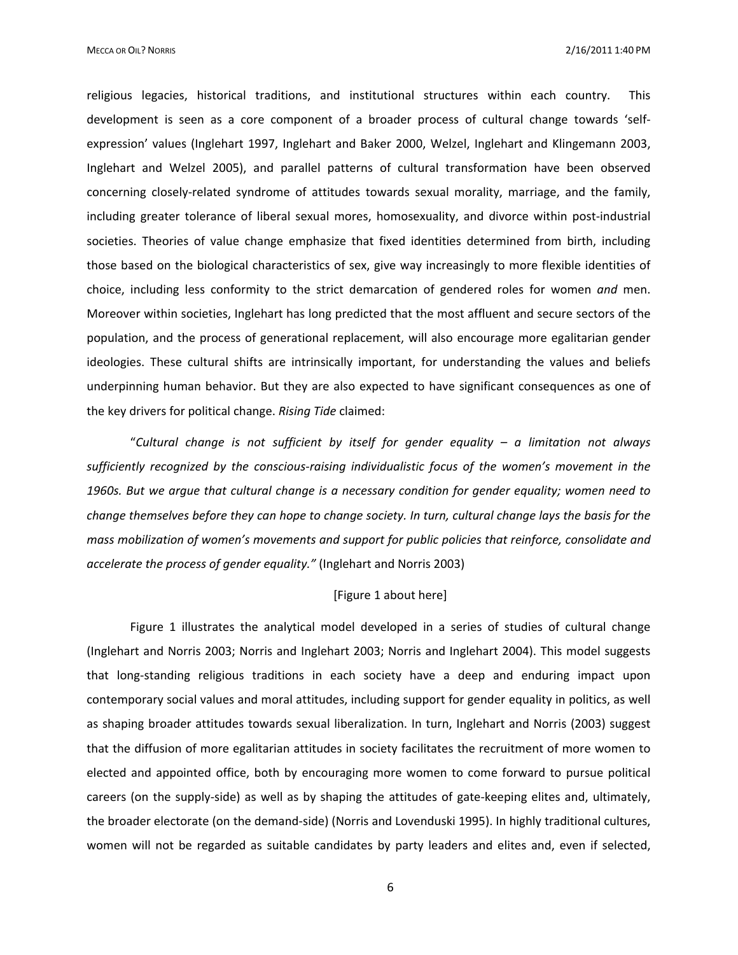religious legacies, historical traditions, and institutional structures within each country. This development is seen as a core component of a broader process of cultural change towards 'self‐ expression' values (Inglehart 1997, Inglehart and Baker 2000, Welzel, Inglehart and Klingemann 2003, Inglehart and Welzel 2005), and parallel patterns of cultural transformation have been observed concerning closely-related syndrome of attitudes towards sexual morality, marriage, and the family, including greater tolerance of liberal sexual mores, homosexuality, and divorce within post-industrial societies. Theories of value change emphasize that fixed identities determined from birth, including those based on the biological characteristics of sex, give way increasingly to more flexible identities of choice, including less conformity to the strict demarcation of gendered roles for women *and* men. Moreover within societies, Inglehart has long predicted that the most affluent and secure sectors of the population, and the process of generational replacement, will also encourage more egalitarian gender ideologies. These cultural shifts are intrinsically important, for understanding the values and beliefs underpinning human behavior. But they are also expected to have significant consequences as one of the key drivers for political change. *Rising Tide* claimed:

"*Cultural change is not sufficient by itself for gender equality – a limitation not always sufficiently recognized by the conscious‐raising individualistic focus of the women's movement in the 1960s. But we argue that cultural change is a necessary condition for gender equality; women need to* change themselves before they can hope to change society. In turn, cultural change lays the basis for the *mass mobilization of women's movements and support for public policies that reinforce, consolidate and accelerate the process of gender equality."* (Inglehart and Norris 2003)

#### [Figure 1 about here]

Figure 1 illustrates the analytical model developed in a series of studies of cultural change (Inglehart and Norris 2003; Norris and Inglehart 2003; Norris and Inglehart 2004). This model suggests that long‐standing religious traditions in each society have a deep and enduring impact upon contemporary social values and moral attitudes, including support for gender equality in politics, as well as shaping broader attitudes towards sexual liberalization. In turn, Inglehart and Norris (2003) suggest that the diffusion of more egalitarian attitudes in society facilitates the recruitment of more women to elected and appointed office, both by encouraging more women to come forward to pursue political careers (on the supply‐side) as well as by shaping the attitudes of gate‐keeping elites and, ultimately, the broader electorate (on the demand‐side) (Norris and Lovenduski 1995). In highly traditional cultures, women will not be regarded as suitable candidates by party leaders and elites and, even if selected,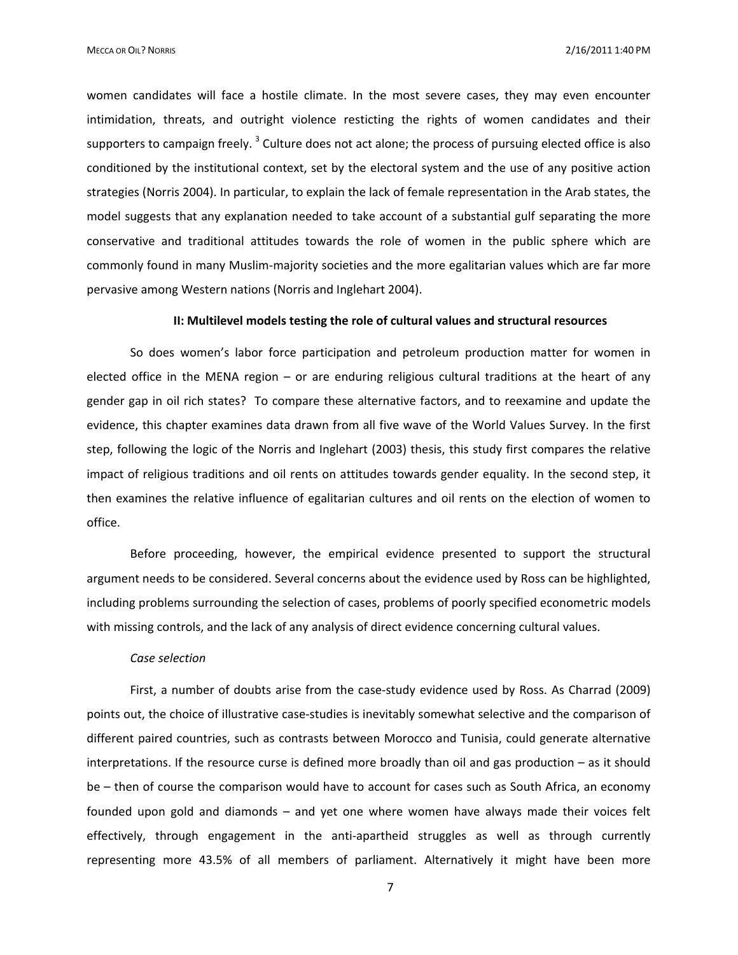women candidates will face a hostile climate. In the most severe cases, they may even encounter intimidation, threats, and outright violence resticting the rights of women candidates and their supporters to campaign freely.<sup>3</sup> Culture does not act alone; the process of pursuing elected office is also conditioned by the institutional context, set by the electoral system and the use of any positive action strategies (Norris 2004). In particular, to explain the lack of female representation in the Arab states, the model suggests that any explanation needed to take account of a substantial gulf separating the more conservative and traditional attitudes towards the role of women in the public sphere which are commonly found in many Muslim‐majority societies and the more egalitarian values which are far more pervasive among Western nations (Norris and Inglehart 2004).

#### **II: Multilevel models testing the role of cultural values and structural resources**

So does women's labor force participation and petroleum production matter for women in elected office in the MENA region – or are enduring religious cultural traditions at the heart of any gender gap in oil rich states? To compare these alternative factors, and to reexamine and update the evidence, this chapter examines data drawn from all five wave of the World Values Survey. In the first step, following the logic of the Norris and Inglehart (2003) thesis, this study first compares the relative impact of religious traditions and oil rents on attitudes towards gender equality. In the second step, it then examines the relative influence of egalitarian cultures and oil rents on the election of women to office.

Before proceeding, however, the empirical evidence presented to support the structural argument needs to be considered. Several concerns about the evidence used by Ross can be highlighted, including problems surrounding the selection of cases, problems of poorly specified econometric models with missing controls, and the lack of any analysis of direct evidence concerning cultural values.

#### *Case selection*

First, a number of doubts arise from the case-study evidence used by Ross. As Charrad (2009) points out, the choice of illustrative case‐studies is inevitably somewhat selective and the comparison of different paired countries, such as contrasts between Morocco and Tunisia, could generate alternative interpretations. If the resource curse is defined more broadly than oil and gas production – as it should be – then of course the comparison would have to account for cases such as South Africa, an economy founded upon gold and diamonds – and yet one where women have always made their voices felt effectively, through engagement in the anti-apartheid struggles as well as through currently representing more 43.5% of all members of parliament. Alternatively it might have been more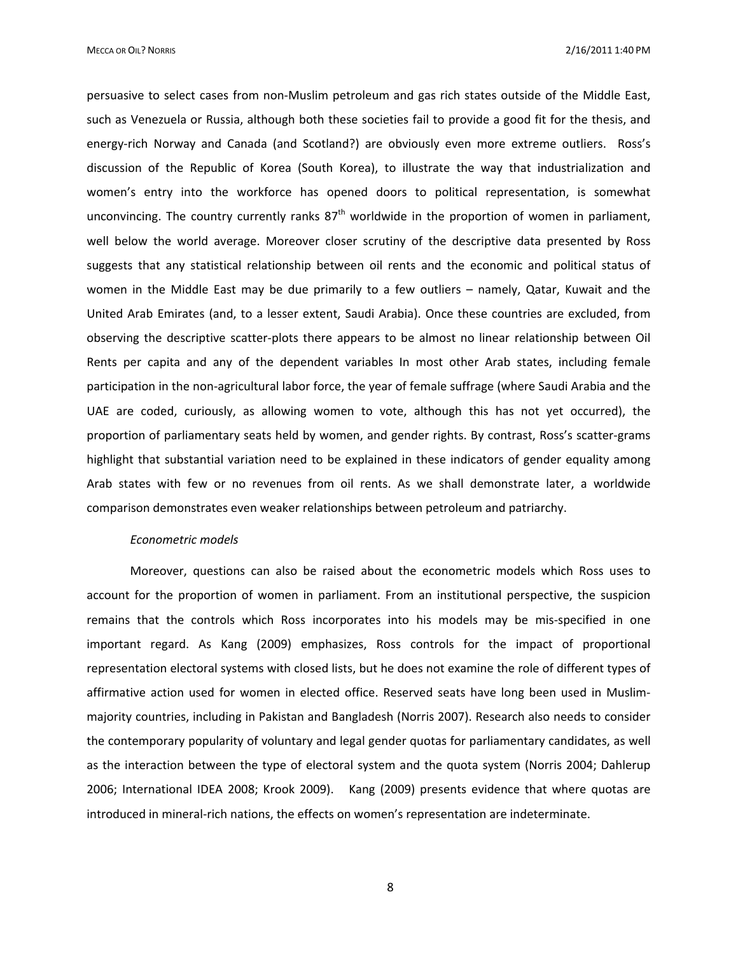persuasive to select cases from non‐Muslim petroleum and gas rich states outside of the Middle East, such as Venezuela or Russia, although both these societies fail to provide a good fit for the thesis, and energy-rich Norway and Canada (and Scotland?) are obviously even more extreme outliers. Ross's discussion of the Republic of Korea (South Korea), to illustrate the way that industrialization and women's entry into the workforce has opened doors to political representation, is somewhat unconvincing. The country currently ranks 87<sup>th</sup> worldwide in the proportion of women in parliament. well below the world average. Moreover closer scrutiny of the descriptive data presented by Ross suggests that any statistical relationship between oil rents and the economic and political status of women in the Middle East may be due primarily to a few outliers – namely, Qatar, Kuwait and the United Arab Emirates (and, to a lesser extent, Saudi Arabia). Once these countries are excluded, from observing the descriptive scatter‐plots there appears to be almost no linear relationship between Oil Rents per capita and any of the dependent variables In most other Arab states, including female participation in the non-agricultural labor force, the year of female suffrage (where Saudi Arabia and the UAE are coded, curiously, as allowing women to vote, although this has not yet occurred), the proportion of parliamentary seats held by women, and gender rights. By contrast, Ross's scatter‐grams highlight that substantial variation need to be explained in these indicators of gender equality among Arab states with few or no revenues from oil rents. As we shall demonstrate later, a worldwide comparison demonstrates even weaker relationships between petroleum and patriarchy.

#### *Econometric models*

Moreover, questions can also be raised about the econometric models which Ross uses to account for the proportion of women in parliament. From an institutional perspective, the suspicion remains that the controls which Ross incorporates into his models may be mis‐specified in one important regard. As Kang (2009) emphasizes, Ross controls for the impact of proportional representation electoral systems with closed lists, but he does not examine the role of different types of affirmative action used for women in elected office. Reserved seats have long been used in Muslim‐ majority countries, including in Pakistan and Bangladesh (Norris 2007). Research also needs to consider the contemporary popularity of voluntary and legal gender quotas for parliamentary candidates, as well as the interaction between the type of electoral system and the quota system (Norris 2004; Dahlerup 2006; International IDEA 2008; Krook 2009). Kang (2009) presents evidence that where quotas are introduced in mineral‐rich nations, the effects on women's representation are indeterminate.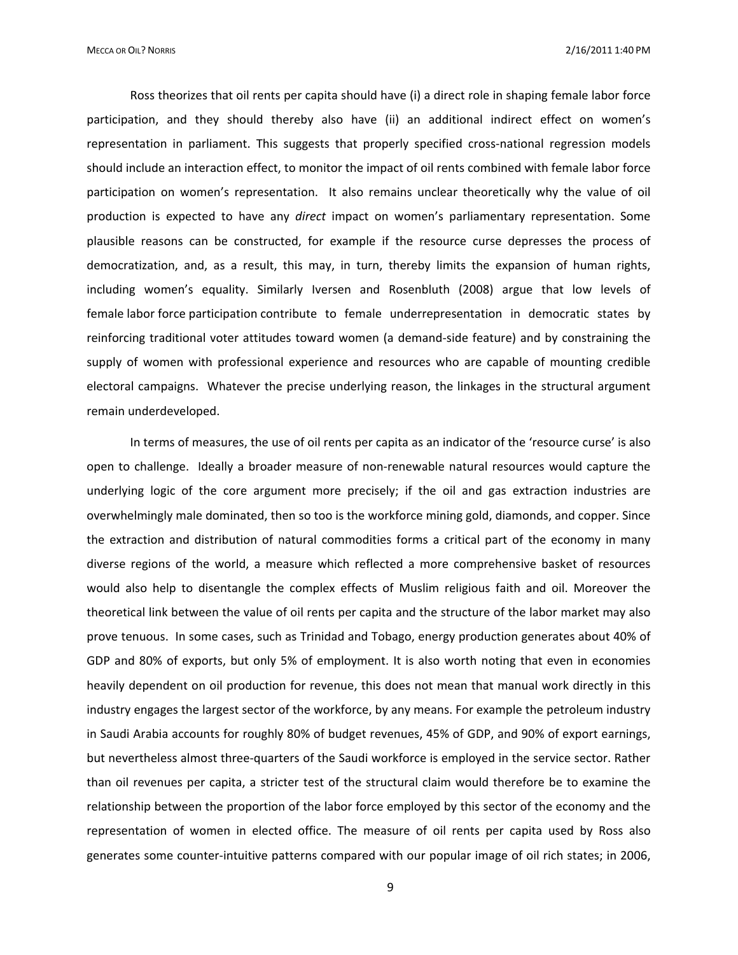Ross theorizes that oil rents per capita should have (i) a direct role in shaping female labor force participation, and they should thereby also have (ii) an additional indirect effect on women's representation in parliament. This suggests that properly specified cross-national regression models should include an interaction effect, to monitor the impact of oil rents combined with female labor force participation on women's representation. It also remains unclear theoretically why the value of oil production is expected to have any *direct* impact on women's parliamentary representation. Some plausible reasons can be constructed, for example if the resource curse depresses the process of democratization, and, as a result, this may, in turn, thereby limits the expansion of human rights, including women's equality. Similarly Iversen and Rosenbluth (2008) argue that low levels of female labor force participation contribute to female underrepresentation in democratic states by reinforcing traditional voter attitudes toward women (a demand‐side feature) and by constraining the supply of women with professional experience and resources who are capable of mounting credible electoral campaigns. Whatever the precise underlying reason, the linkages in the structural argument remain underdeveloped.

In terms of measures, the use of oil rents per capita as an indicator of the 'resource curse' is also open to challenge. Ideally a broader measure of non‐renewable natural resources would capture the underlying logic of the core argument more precisely; if the oil and gas extraction industries are overwhelmingly male dominated, then so too is the workforce mining gold, diamonds, and copper. Since the extraction and distribution of natural commodities forms a critical part of the economy in many diverse regions of the world, a measure which reflected a more comprehensive basket of resources would also help to disentangle the complex effects of Muslim religious faith and oil. Moreover the theoretical link between the value of oil rents per capita and the structure of the labor market may also prove tenuous. In some cases, such as Trinidad and Tobago, energy production generates about 40% of GDP and 80% of exports, but only 5% of employment. It is also worth noting that even in economies heavily dependent on oil production for revenue, this does not mean that manual work directly in this industry engages the largest sector of the workforce, by any means. For example the petroleum industry in Saudi Arabia accounts for roughly 80% of budget revenues, 45% of GDP, and 90% of export earnings, but nevertheless almost three‐quarters of the Saudi workforce is employed in the service sector. Rather than oil revenues per capita, a stricter test of the structural claim would therefore be to examine the relationship between the proportion of the labor force employed by this sector of the economy and the representation of women in elected office. The measure of oil rents per capita used by Ross also generates some counter‐intuitive patterns compared with our popular image of oil rich states; in 2006,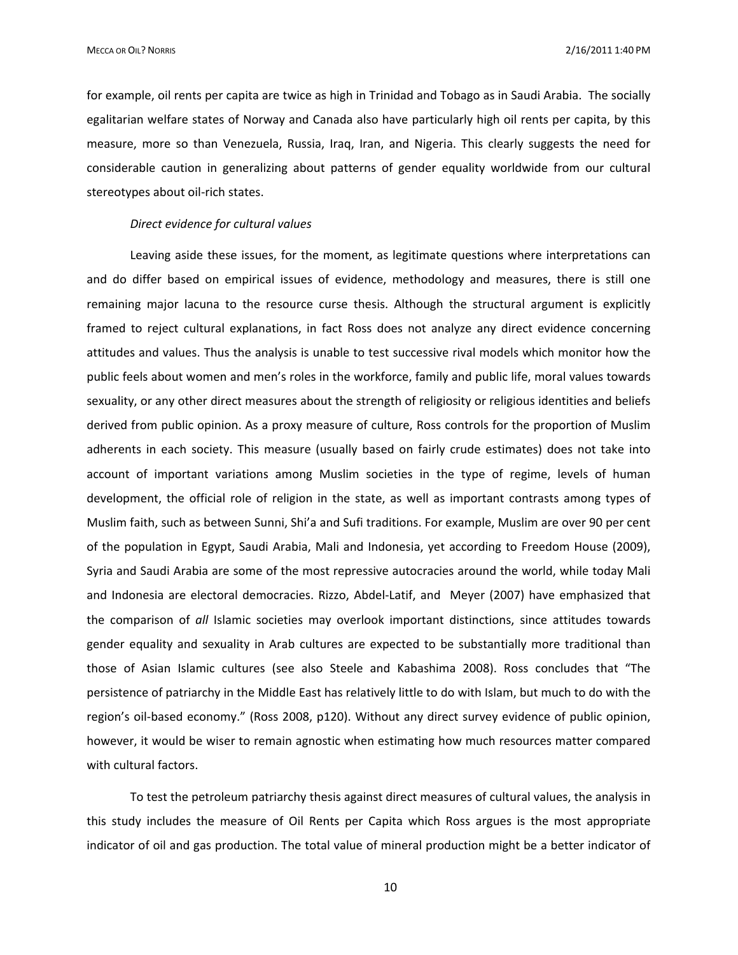for example, oil rents per capita are twice as high in Trinidad and Tobago as in Saudi Arabia. The socially egalitarian welfare states of Norway and Canada also have particularly high oil rents per capita, by this measure, more so than Venezuela, Russia, Iraq, Iran, and Nigeria. This clearly suggests the need for considerable caution in generalizing about patterns of gender equality worldwide from our cultural stereotypes about oil‐rich states.

#### *Direct evidence for cultural values*

Leaving aside these issues, for the moment, as legitimate questions where interpretations can and do differ based on empirical issues of evidence, methodology and measures, there is still one remaining major lacuna to the resource curse thesis. Although the structural argument is explicitly framed to reject cultural explanations, in fact Ross does not analyze any direct evidence concerning attitudes and values. Thus the analysis is unable to test successive rival models which monitor how the public feels about women and men's roles in the workforce, family and public life, moral values towards sexuality, or any other direct measures about the strength of religiosity or religious identities and beliefs derived from public opinion. As a proxy measure of culture, Ross controls for the proportion of Muslim adherents in each society. This measure (usually based on fairly crude estimates) does not take into account of important variations among Muslim societies in the type of regime, levels of human development, the official role of religion in the state, as well as important contrasts among types of Muslim faith, such as between Sunni, Shi'a and Sufi traditions. For example, Muslim are over 90 per cent of the population in Egypt, Saudi Arabia, Mali and Indonesia, yet according to Freedom House (2009), Syria and Saudi Arabia are some of the most repressive autocracies around the world, while today Mali and Indonesia are electoral democracies. Rizzo, Abdel‐Latif, and Meyer (2007) have emphasized that the comparison of *all* Islamic societies may overlook important distinctions, since attitudes towards gender equality and sexuality in Arab cultures are expected to be substantially more traditional than those of Asian Islamic cultures (see also Steele and Kabashima 2008). Ross concludes that "The persistence of patriarchy in the Middle East has relatively little to do with Islam, but much to do with the region's oil‐based economy." (Ross 2008, p120). Without any direct survey evidence of public opinion, however, it would be wiser to remain agnostic when estimating how much resources matter compared with cultural factors.

To test the petroleum patriarchy thesis against direct measures of cultural values, the analysis in this study includes the measure of Oil Rents per Capita which Ross argues is the most appropriate indicator of oil and gas production. The total value of mineral production might be a better indicator of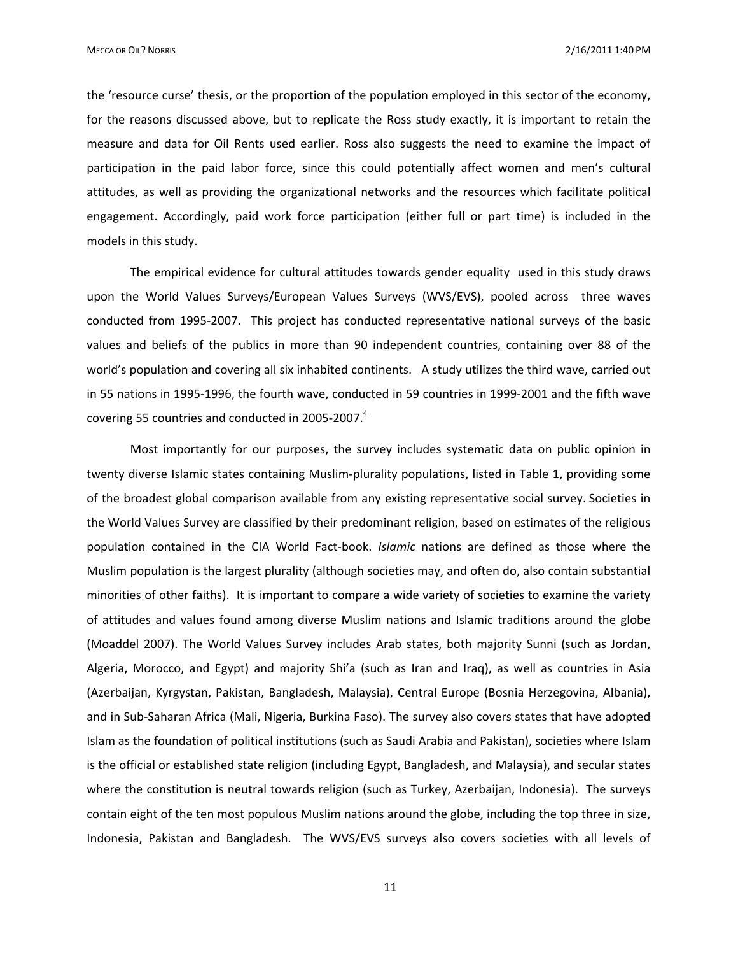the 'resource curse' thesis, or the proportion of the population employed in this sector of the economy, for the reasons discussed above, but to replicate the Ross study exactly, it is important to retain the measure and data for Oil Rents used earlier. Ross also suggests the need to examine the impact of participation in the paid labor force, since this could potentially affect women and men's cultural attitudes, as well as providing the organizational networks and the resources which facilitate political engagement. Accordingly, paid work force participation (either full or part time) is included in the models in this study.

The empirical evidence for cultural attitudes towards gender equality used in this study draws upon the World Values Surveys/European Values Surveys (WVS/EVS), pooled across three waves conducted from 1995-2007. This project has conducted representative national surveys of the basic values and beliefs of the publics in more than 90 independent countries, containing over 88 of the world's population and covering all six inhabited continents. A study utilizes the third wave, carried out in 55 nations in 1995‐1996, the fourth wave, conducted in 59 countries in 1999‐2001 and the fifth wave covering 55 countries and conducted in 2005-2007.<sup>4</sup>

Most importantly for our purposes, the survey includes systematic data on public opinion in twenty diverse Islamic states containing Muslim‐plurality populations, listed in Table 1, providing some of the broadest global comparison available from any existing representative social survey. Societies in the World Values Survey are classified by their predominant religion, based on estimates of the religious population contained in the CIA World Fact-book. *Islamic* nations are defined as those where the Muslim population is the largest plurality (although societies may, and often do, also contain substantial minorities of other faiths). It is important to compare a wide variety of societies to examine the variety of attitudes and values found among diverse Muslim nations and Islamic traditions around the globe (Moaddel 2007). The World Values Survey includes Arab states, both majority Sunni (such as Jordan, Algeria, Morocco, and Egypt) and majority Shi'a (such as Iran and Iraq), as well as countries in Asia (Azerbaijan, Kyrgystan, Pakistan, Bangladesh, Malaysia), Central Europe (Bosnia Herzegovina, Albania), and in Sub‐Saharan Africa (Mali, Nigeria, Burkina Faso). The survey also covers states that have adopted Islam as the foundation of political institutions (such as Saudi Arabia and Pakistan), societies where Islam is the official or established state religion (including Egypt, Bangladesh, and Malaysia), and secular states where the constitution is neutral towards religion (such as Turkey, Azerbaijan, Indonesia). The surveys contain eight of the ten most populous Muslim nations around the globe, including the top three in size, Indonesia, Pakistan and Bangladesh. The WVS/EVS surveys also covers societies with all levels of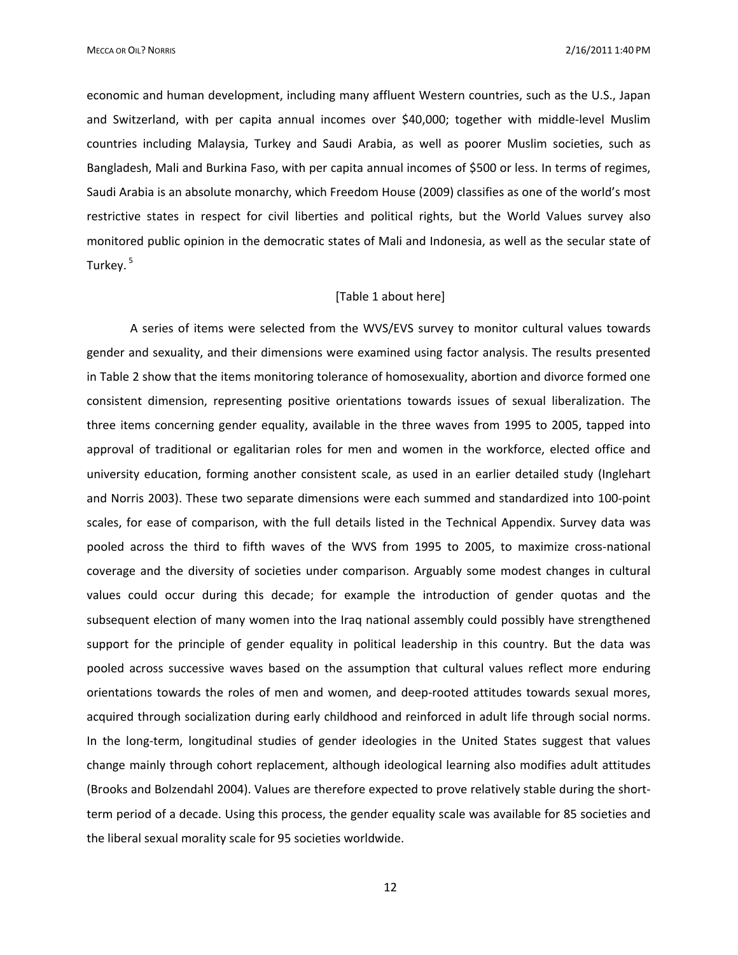economic and human development, including many affluent Western countries, such as the U.S., Japan and Switzerland, with per capita annual incomes over \$40,000; together with middle‐level Muslim countries including Malaysia, Turkey and Saudi Arabia, as well as poorer Muslim societies, such as Bangladesh, Mali and Burkina Faso, with per capita annual incomes of \$500 or less. In terms of regimes, Saudi Arabia is an absolute monarchy, which Freedom House (2009) classifies as one of the world's most restrictive states in respect for civil liberties and political rights, but the World Values survey also monitored public opinion in the democratic states of Mali and Indonesia, as well as the secular state of Turkey.<sup>5</sup>

#### [Table 1 about here]

A series of items were selected from the WVS/EVS survey to monitor cultural values towards gender and sexuality, and their dimensions were examined using factor analysis. The results presented in Table 2 show that the items monitoring tolerance of homosexuality, abortion and divorce formed one consistent dimension, representing positive orientations towards issues of sexual liberalization. The three items concerning gender equality, available in the three waves from 1995 to 2005, tapped into approval of traditional or egalitarian roles for men and women in the workforce, elected office and university education, forming another consistent scale, as used in an earlier detailed study (Inglehart and Norris 2003). These two separate dimensions were each summed and standardized into 100‐point scales, for ease of comparison, with the full details listed in the Technical Appendix. Survey data was pooled across the third to fifth waves of the WVS from 1995 to 2005, to maximize cross-national coverage and the diversity of societies under comparison. Arguably some modest changes in cultural values could occur during this decade; for example the introduction of gender quotas and the subsequent election of many women into the Iraq national assembly could possibly have strengthened support for the principle of gender equality in political leadership in this country. But the data was pooled across successive waves based on the assumption that cultural values reflect more enduring orientations towards the roles of men and women, and deep-rooted attitudes towards sexual mores, acquired through socialization during early childhood and reinforced in adult life through social norms. In the long-term, longitudinal studies of gender ideologies in the United States suggest that values change mainly through cohort replacement, although ideological learning also modifies adult attitudes (Brooks and Bolzendahl 2004). Values are therefore expected to prove relatively stable during the short‐ term period of a decade. Using this process, the gender equality scale was available for 85 societies and the liberal sexual morality scale for 95 societies worldwide.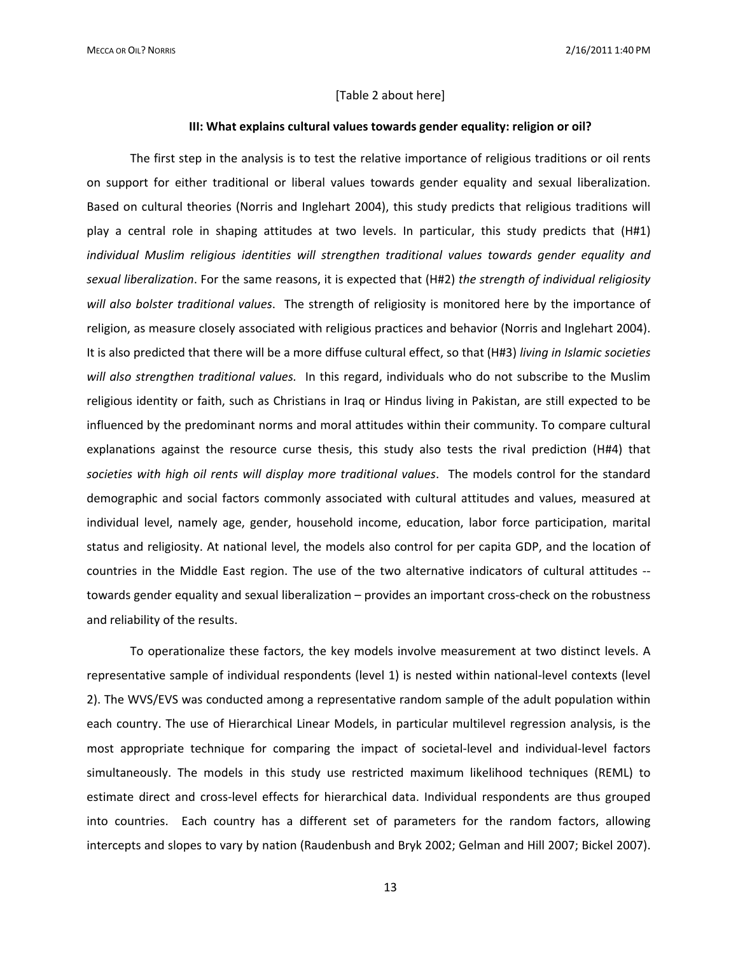المستقبل المستقبل المستقبل المستقبل المستقبل المستقبل المستقبل المستقبل المستقبل المستقبل المستقبل المستقبل ال<br>المستقبل المستقبل المستقبل المستقبل المستقبل المستقبل المستقبل المستقبل المستقبل المستقبل المستقبل المستقبل ال

#### [Table 2 about here]

#### **III: What explains cultural values towards gender equality: religion or oil?**

The first step in the analysis is to test the relative importance of religious traditions or oil rents on support for either traditional or liberal values towards gender equality and sexual liberalization. Based on cultural theories (Norris and Inglehart 2004), this study predicts that religious traditions will play a central role in shaping attitudes at two levels. In particular, this study predicts that (H#1) *individual Muslim religious identities will strengthen traditional values towards gender equality and sexual liberalization*. For the same reasons, it is expected that (H#2) *the strength of individual religiosity will also bolster traditional values*. The strength of religiosity is monitored here by the importance of religion, as measure closely associated with religious practices and behavior (Norris and Inglehart 2004). It is also predicted that there will be a more diffuse cultural effect, so that (H#3) *living in Islamic societies will also strengthen traditional values.* In this regard, individuals who do not subscribe to the Muslim religious identity or faith, such as Christians in Iraq or Hindus living in Pakistan, are still expected to be influenced by the predominant norms and moral attitudes within their community. To compare cultural explanations against the resource curse thesis, this study also tests the rival prediction (H#4) that *societies with high oil rents will display more traditional values*. The models control for the standard demographic and social factors commonly associated with cultural attitudes and values, measured at individual level, namely age, gender, household income, education, labor force participation, marital status and religiosity. At national level, the models also control for per capita GDP, and the location of countries in the Middle East region. The use of the two alternative indicators of cultural attitudes ‐‐ towards gender equality and sexual liberalization – provides an important cross-check on the robustness and reliability of the results.

To operationalize these factors, the key models involve measurement at two distinct levels. A representative sample of individual respondents (level 1) is nested within national‐level contexts (level 2). The WVS/EVS was conducted among a representative random sample of the adult population within each country. The use of Hierarchical Linear Models, in particular multilevel regression analysis, is the most appropriate technique for comparing the impact of societal-level and individual-level factors simultaneously. The models in this study use restricted maximum likelihood techniques (REML) to estimate direct and cross‐level effects for hierarchical data. Individual respondents are thus grouped into countries. Each country has a different set of parameters for the random factors, allowing intercepts and slopes to vary by nation (Raudenbush and Bryk 2002; Gelman and Hill 2007; Bickel 2007).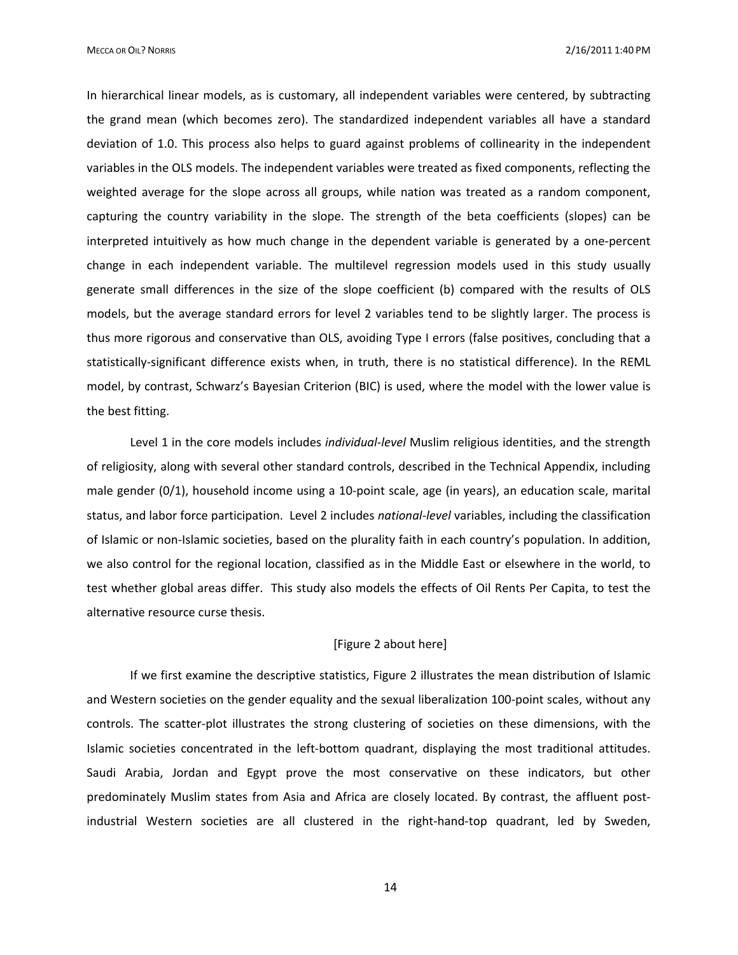In hierarchical linear models, as is customary, all independent variables were centered, by subtracting the grand mean (which becomes zero). The standardized independent variables all have a standard deviation of 1.0. This process also helps to guard against problems of collinearity in the independent variables in the OLS models. The independent variables were treated as fixed components, reflecting the weighted average for the slope across all groups, while nation was treated as a random component, capturing the country variability in the slope. The strength of the beta coefficients (slopes) can be interpreted intuitively as how much change in the dependent variable is generated by a one‐percent change in each independent variable. The multilevel regression models used in this study usually generate small differences in the size of the slope coefficient (b) compared with the results of OLS models, but the average standard errors for level 2 variables tend to be slightly larger. The process is thus more rigorous and conservative than OLS, avoiding Type I errors (false positives, concluding that a statistically‐significant difference exists when, in truth, there is no statistical difference). In the REML model, by contrast, Schwarz's Bayesian Criterion (BIC) is used, where the model with the lower value is the best fitting.

Level 1 in the core models includes *individual‐level* Muslim religious identities, and the strength of religiosity, along with several other standard controls, described in the Technical Appendix, including male gender (0/1), household income using a 10‐point scale, age (in years), an education scale, marital status, and labor force participation. Level 2 includes *national‐level* variables, including the classification of Islamic or non‐Islamic societies, based on the plurality faith in each country's population. In addition, we also control for the regional location, classified as in the Middle East or elsewhere in the world, to test whether global areas differ. This study also models the effects of Oil Rents Per Capita, to test the alternative resource curse thesis.

#### [Figure 2 about here]

If we first examine the descriptive statistics, Figure 2 illustrates the mean distribution of Islamic and Western societies on the gender equality and the sexual liberalization 100‐point scales, without any controls. The scatter‐plot illustrates the strong clustering of societies on these dimensions, with the Islamic societies concentrated in the left-bottom quadrant, displaying the most traditional attitudes. Saudi Arabia, Jordan and Egypt prove the most conservative on these indicators, but other predominately Muslim states from Asia and Africa are closely located. By contrast, the affluent postindustrial Western societies are all clustered in the right-hand-top quadrant, led by Sweden,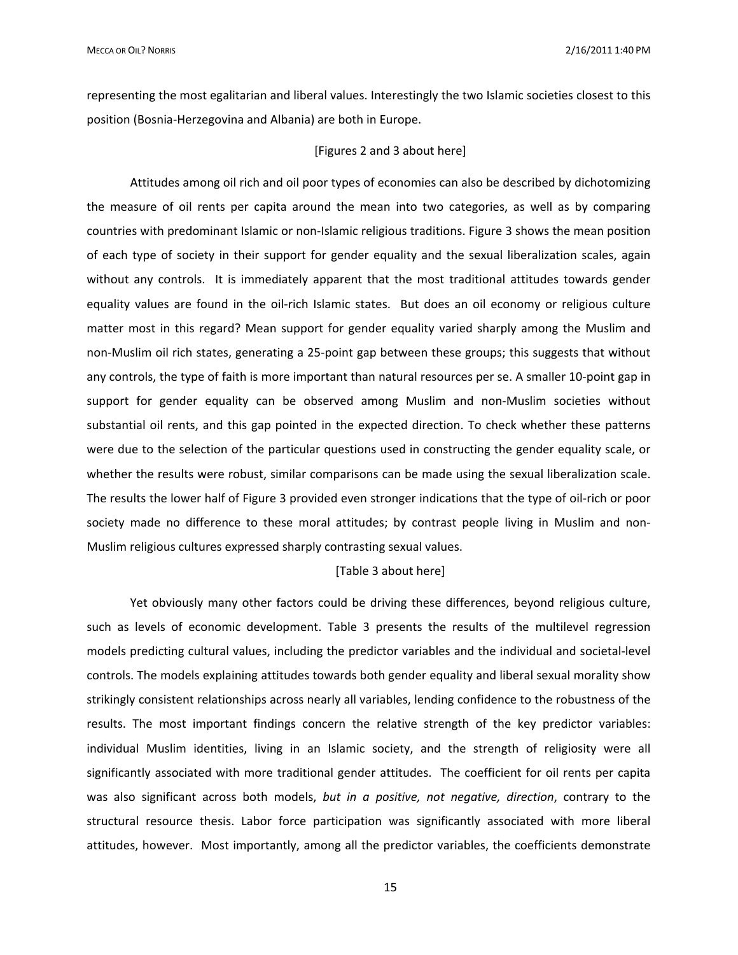representing the most egalitarian and liberal values. Interestingly the two Islamic societies closest to this position (Bosnia‐Herzegovina and Albania) are both in Europe.

#### [Figures 2 and 3 about here]

Attitudes among oil rich and oil poor types of economies can also be described by dichotomizing the measure of oil rents per capita around the mean into two categories, as well as by comparing countries with predominant Islamic or non‐Islamic religious traditions. Figure 3 shows the mean position of each type of society in their support for gender equality and the sexual liberalization scales, again without any controls. It is immediately apparent that the most traditional attitudes towards gender equality values are found in the oil-rich Islamic states. But does an oil economy or religious culture matter most in this regard? Mean support for gender equality varied sharply among the Muslim and non‐Muslim oil rich states, generating a 25‐point gap between these groups; this suggests that without any controls, the type of faith is more important than natural resources per se. A smaller 10‐point gap in support for gender equality can be observed among Muslim and non‐Muslim societies without substantial oil rents, and this gap pointed in the expected direction. To check whether these patterns were due to the selection of the particular questions used in constructing the gender equality scale, or whether the results were robust, similar comparisons can be made using the sexual liberalization scale. The results the lower half of Figure 3 provided even stronger indications that the type of oil‐rich or poor society made no difference to these moral attitudes; by contrast people living in Muslim and non-Muslim religious cultures expressed sharply contrasting sexual values.

#### [Table 3 about here]

Yet obviously many other factors could be driving these differences, beyond religious culture, such as levels of economic development. Table 3 presents the results of the multilevel regression models predicting cultural values, including the predictor variables and the individual and societal‐level controls. The models explaining attitudes towards both gender equality and liberal sexual morality show strikingly consistent relationships across nearly all variables, lending confidence to the robustness of the results. The most important findings concern the relative strength of the key predictor variables: individual Muslim identities, living in an Islamic society, and the strength of religiosity were all significantly associated with more traditional gender attitudes. The coefficient for oil rents per capita was also significant across both models, *but in a positive, not negative, direction*, contrary to the structural resource thesis. Labor force participation was significantly associated with more liberal attitudes, however. Most importantly, among all the predictor variables, the coefficients demonstrate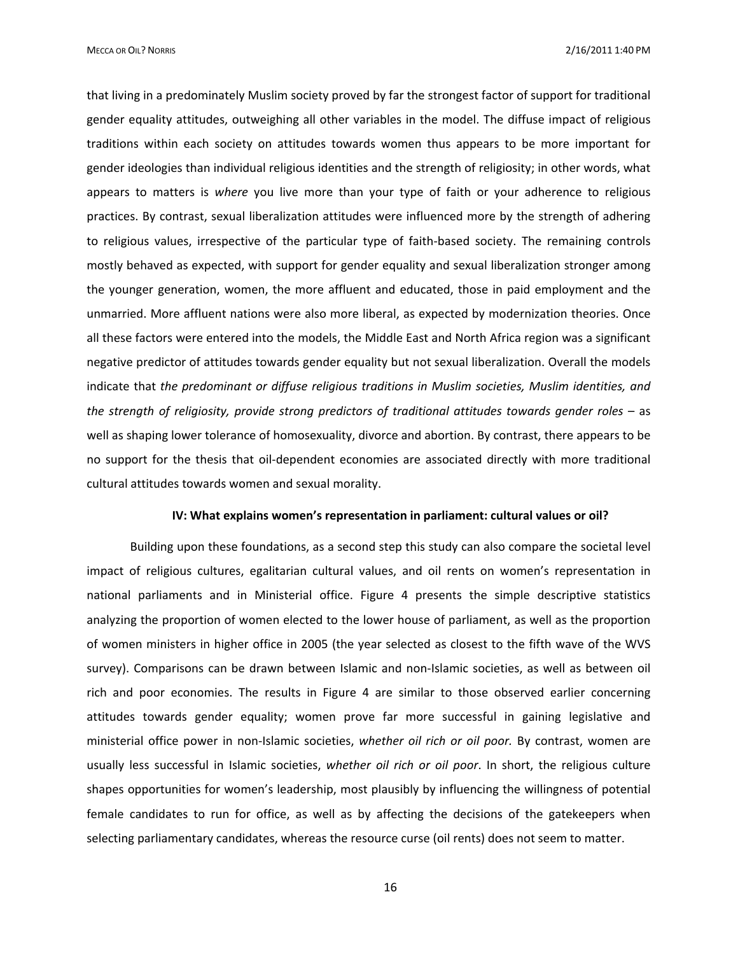المستقبل المستقبل المستقبل المستقبل المستقبل المستقبل المستقبل المستقبل المستقبل المستقبل المستقبل المستقبل ال<br>المستقبل المستقبل المستقبل المستقبل المستقبل المستقبل المستقبل المستقبل المستقبل المستقبل المستقبل المستقبل ال

that living in a predominately Muslim society proved by far the strongest factor of support for traditional gender equality attitudes, outweighing all other variables in the model. The diffuse impact of religious traditions within each society on attitudes towards women thus appears to be more important for gender ideologies than individual religious identities and the strength of religiosity; in other words, what appears to matters is *where* you live more than your type of faith or your adherence to religious practices. By contrast, sexual liberalization attitudes were influenced more by the strength of adhering to religious values, irrespective of the particular type of faith‐based society. The remaining controls mostly behaved as expected, with support for gender equality and sexual liberalization stronger among the younger generation, women, the more affluent and educated, those in paid employment and the unmarried. More affluent nations were also more liberal, as expected by modernization theories. Once all these factors were entered into the models, the Middle East and North Africa region was a significant negative predictor of attitudes towards gender equality but not sexual liberalization. Overall the models indicate that *the predominant or diffuse religious traditions in Muslim societies, Muslim identities, and the strength of religiosity, provide strong predictors of traditional attitudes towards gender roles* – as well as shaping lower tolerance of homosexuality, divorce and abortion. By contrast, there appears to be no support for the thesis that oil‐dependent economies are associated directly with more traditional cultural attitudes towards women and sexual morality.

#### **IV: What explains women's representation in parliament: cultural values or oil?**

Building upon these foundations, as a second step this study can also compare the societal level impact of religious cultures, egalitarian cultural values, and oil rents on women's representation in national parliaments and in Ministerial office. Figure 4 presents the simple descriptive statistics analyzing the proportion of women elected to the lower house of parliament, as well as the proportion of women ministers in higher office in 2005 (the year selected as closest to the fifth wave of the WVS survey). Comparisons can be drawn between Islamic and non-Islamic societies, as well as between oil rich and poor economies. The results in Figure 4 are similar to those observed earlier concerning attitudes towards gender equality; women prove far more successful in gaining legislative and ministerial office power in non‐Islamic societies, *whether oil rich or oil poor.* By contrast, women are usually less successful in Islamic societies, *whether oil rich or oil poor*. In short, the religious culture shapes opportunities for women's leadership, most plausibly by influencing the willingness of potential female candidates to run for office, as well as by affecting the decisions of the gatekeepers when selecting parliamentary candidates, whereas the resource curse (oil rents) does not seem to matter.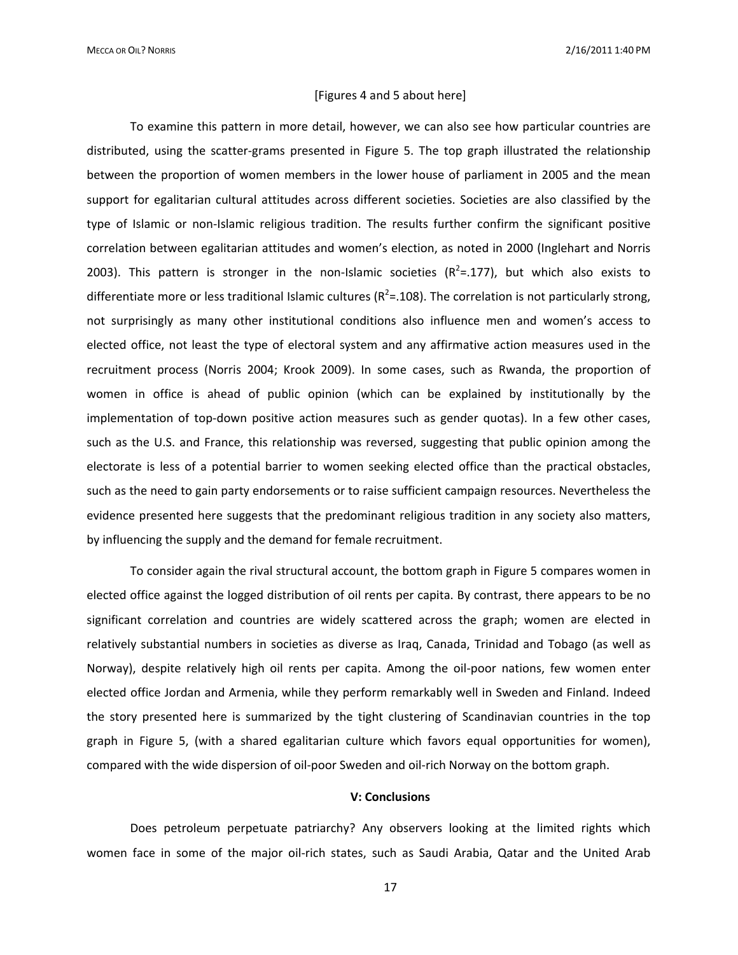#### [Figures 4 and 5 about here]

To examine this pattern in more detail, however, we can also see how particular countries are distributed, using the scatter‐grams presented in Figure 5. The top graph illustrated the relationship between the proportion of women members in the lower house of parliament in 2005 and the mean support for egalitarian cultural attitudes across different societies. Societies are also classified by the type of Islamic or non-Islamic religious tradition. The results further confirm the significant positive correlation between egalitarian attitudes and women's election, as noted in 2000 (Inglehart and Norris 2003). This pattern is stronger in the non-Islamic societies  $(R^2=0.177)$ , but which also exists to differentiate more or less traditional Islamic cultures ( $R^2$ =.108). The correlation is not particularly strong, not surprisingly as many other institutional conditions also influence men and women's access to elected office, not least the type of electoral system and any affirmative action measures used in the recruitment process (Norris 2004; Krook 2009). In some cases, such as Rwanda, the proportion of women in office is ahead of public opinion (which can be explained by institutionally by the implementation of top-down positive action measures such as gender quotas). In a few other cases, such as the U.S. and France, this relationship was reversed, suggesting that public opinion among the electorate is less of a potential barrier to women seeking elected office than the practical obstacles, such as the need to gain party endorsements or to raise sufficient campaign resources. Nevertheless the evidence presented here suggests that the predominant religious tradition in any society also matters, by influencing the supply and the demand for female recruitment.

To consider again the rival structural account, the bottom graph in Figure 5 compares women in elected office against the logged distribution of oil rents per capita. By contrast, there appears to be no significant correlation and countries are widely scattered across the graph; women are elected in relatively substantial numbers in societies as diverse as Iraq, Canada, Trinidad and Tobago (as well as Norway), despite relatively high oil rents per capita. Among the oil‐poor nations, few women enter elected office Jordan and Armenia, while they perform remarkably well in Sweden and Finland. Indeed the story presented here is summarized by the tight clustering of Scandinavian countries in the top graph in Figure 5, (with a shared egalitarian culture which favors equal opportunities for women), compared with the wide dispersion of oil‐poor Sweden and oil‐rich Norway on the bottom graph.

#### **V: Conclusions**

Does petroleum perpetuate patriarchy? Any observers looking at the limited rights which women face in some of the major oil-rich states, such as Saudi Arabia, Qatar and the United Arab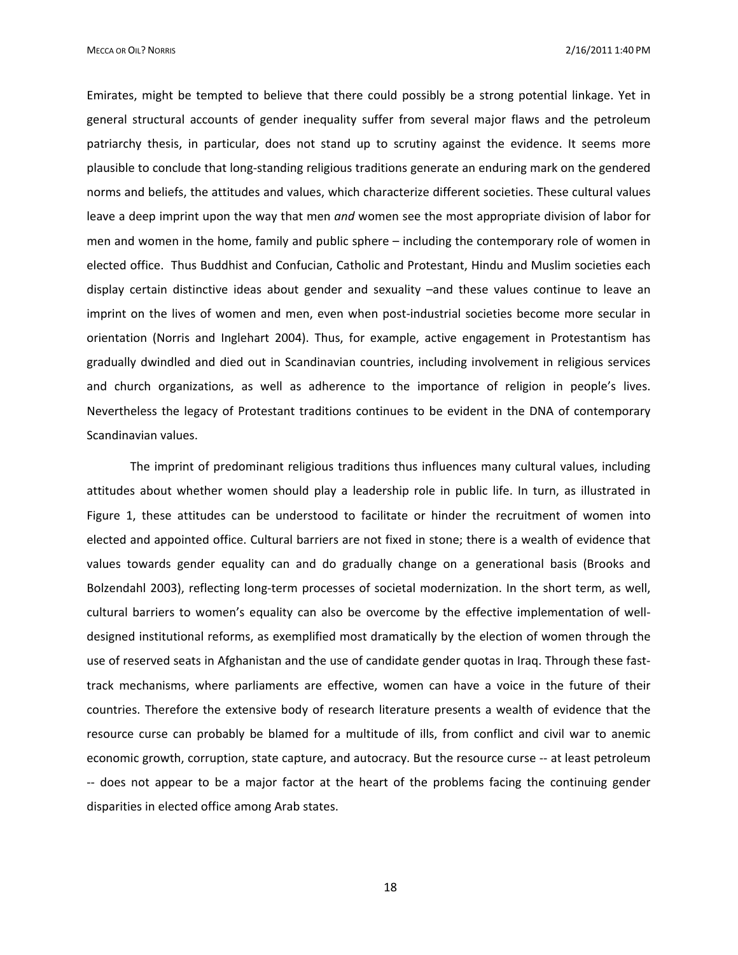Emirates, might be tempted to believe that there could possibly be a strong potential linkage. Yet in general structural accounts of gender inequality suffer from several major flaws and the petroleum patriarchy thesis, in particular, does not stand up to scrutiny against the evidence. It seems more plausible to conclude that long‐standing religious traditions generate an enduring mark on the gendered norms and beliefs, the attitudes and values, which characterize different societies. These cultural values leave a deep imprint upon the way that men *and* women see the most appropriate division of labor for men and women in the home, family and public sphere – including the contemporary role of women in elected office. Thus Buddhist and Confucian, Catholic and Protestant, Hindu and Muslim societies each display certain distinctive ideas about gender and sexuality –and these values continue to leave an imprint on the lives of women and men, even when post-industrial societies become more secular in orientation (Norris and Inglehart 2004). Thus, for example, active engagement in Protestantism has gradually dwindled and died out in Scandinavian countries, including involvement in religious services and church organizations, as well as adherence to the importance of religion in people's lives. Nevertheless the legacy of Protestant traditions continues to be evident in the DNA of contemporary Scandinavian values.

The imprint of predominant religious traditions thus influences many cultural values, including attitudes about whether women should play a leadership role in public life. In turn, as illustrated in Figure 1, these attitudes can be understood to facilitate or hinder the recruitment of women into elected and appointed office. Cultural barriers are not fixed in stone; there is a wealth of evidence that values towards gender equality can and do gradually change on a generational basis (Brooks and Bolzendahl 2003), reflecting long‐term processes of societal modernization. In the short term, as well, cultural barriers to women's equality can also be overcome by the effective implementation of welldesigned institutional reforms, as exemplified most dramatically by the election of women through the use of reserved seats in Afghanistan and the use of candidate gender quotas in Iraq. Through these fast‐ track mechanisms, where parliaments are effective, women can have a voice in the future of their countries. Therefore the extensive body of research literature presents a wealth of evidence that the resource curse can probably be blamed for a multitude of ills, from conflict and civil war to anemic economic growth, corruption, state capture, and autocracy. But the resource curse ‐‐ at least petroleum ‐‐ does not appear to be a major factor at the heart of the problems facing the continuing gender disparities in elected office among Arab states.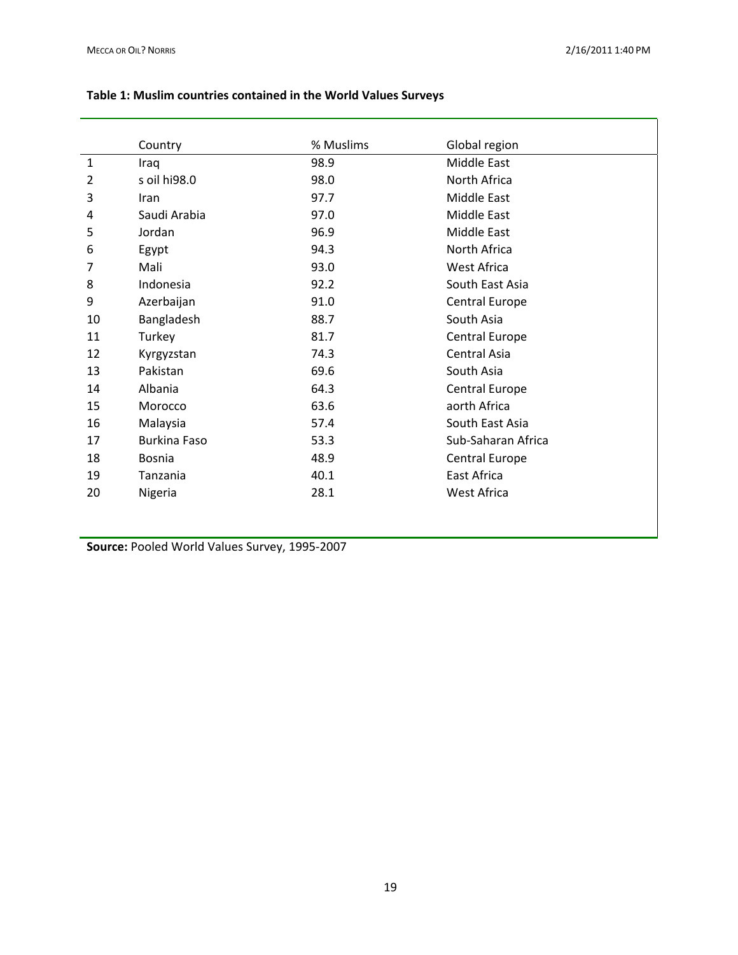|                | Country             | % Muslims | Global region         |
|----------------|---------------------|-----------|-----------------------|
| $\mathbf 1$    | Iraq                | 98.9      | Middle East           |
| $\overline{2}$ | s oil hi98.0        | 98.0      | North Africa          |
| 3              | Iran                | 97.7      | Middle East           |
| 4              | Saudi Arabia        | 97.0      | Middle East           |
| 5              | Jordan              | 96.9      | Middle East           |
| 6              | Egypt               | 94.3      | North Africa          |
| 7              | Mali                | 93.0      | West Africa           |
| 8              | Indonesia           | 92.2      | South East Asia       |
| 9              | Azerbaijan          | 91.0      | <b>Central Europe</b> |
| 10             | Bangladesh          | 88.7      | South Asia            |
| 11             | Turkey              | 81.7      | Central Europe        |
| 12             | Kyrgyzstan          | 74.3      | <b>Central Asia</b>   |
| 13             | Pakistan            | 69.6      | South Asia            |
| 14             | Albania             | 64.3      | Central Europe        |
| 15             | Morocco             | 63.6      | aorth Africa          |
| 16             | Malaysia            | 57.4      | South East Asia       |
| 17             | <b>Burkina Faso</b> | 53.3      | Sub-Saharan Africa    |
| 18             | <b>Bosnia</b>       | 48.9      | Central Europe        |
| 19             | Tanzania            | 40.1      | East Africa           |
| 20             | Nigeria             | 28.1      | <b>West Africa</b>    |

**Source:** Pooled World Values Survey, 1995‐2007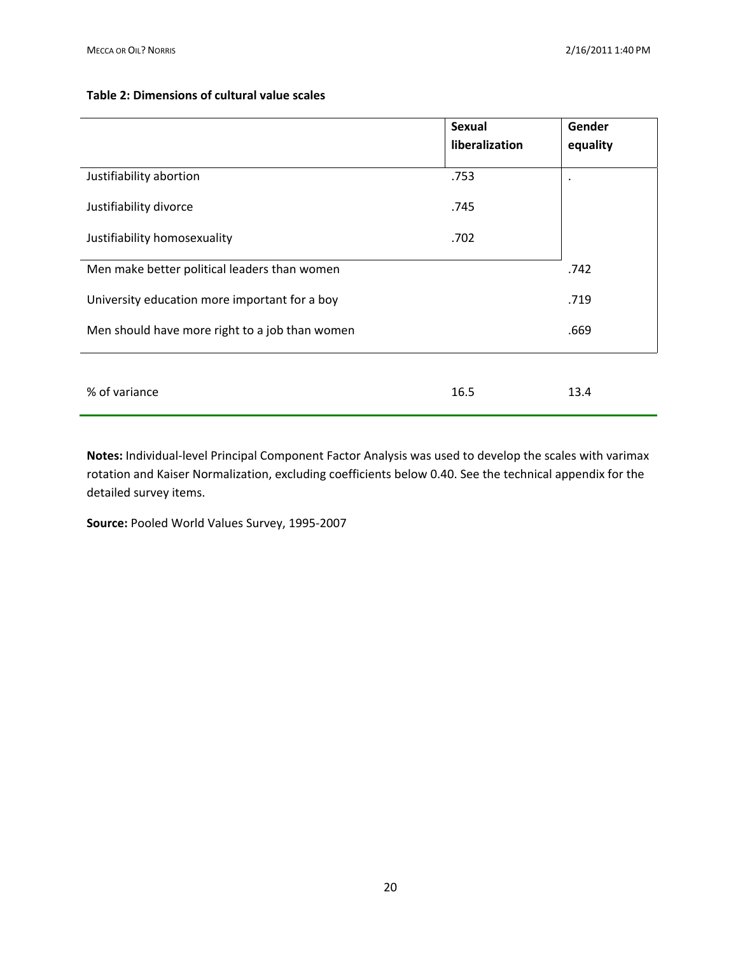### **Table 2: Dimensions of cultural value scales**

|                                                | <b>Sexual</b>  | Gender    |
|------------------------------------------------|----------------|-----------|
|                                                | liberalization | equality  |
| Justifiability abortion                        | .753           | $\bullet$ |
| Justifiability divorce                         | .745           |           |
| Justifiability homosexuality                   | .702           |           |
| Men make better political leaders than women   |                | .742      |
| University education more important for a boy  |                | .719      |
| Men should have more right to a job than women |                | .669      |
|                                                |                |           |
| % of variance                                  | 16.5           | 13.4      |

**Notes:** Individual‐level Principal Component Factor Analysis was used to develop the scales with varimax rotation and Kaiser Normalization, excluding coefficients below 0.40. See the technical appendix for the detailed survey items.

**Source:** Pooled World Values Survey, 1995‐2007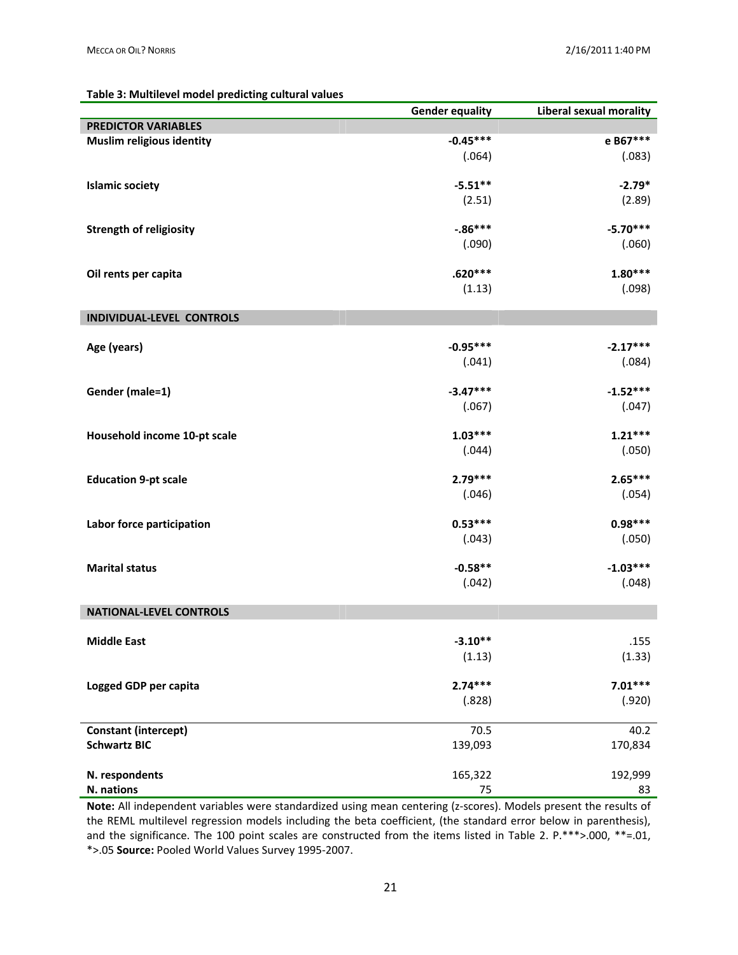#### **Table 3: Multilevel model predicting cultural values**

|                                  | <b>Gender equality</b> | Liberal sexual morality |
|----------------------------------|------------------------|-------------------------|
| <b>PREDICTOR VARIABLES</b>       |                        |                         |
| <b>Muslim religious identity</b> | $-0.45***$             | e B67***                |
|                                  | (.064)                 | (.083)                  |
|                                  |                        |                         |
| <b>Islamic society</b>           | $-5.51**$              | $-2.79*$                |
|                                  | (2.51)                 | (2.89)                  |
| <b>Strength of religiosity</b>   | $-.86***$              | $-5.70***$              |
|                                  | (.090)                 | (.060)                  |
|                                  |                        |                         |
| Oil rents per capita             | $.620***$              | $1.80***$               |
|                                  | (1.13)                 | (.098)                  |
|                                  |                        |                         |
| INDIVIDUAL-LEVEL CONTROLS        |                        |                         |
|                                  | $-0.95***$             | $-2.17***$              |
| Age (years)                      | (.041)                 | (.084)                  |
|                                  |                        |                         |
| Gender (male=1)                  | $-3.47***$             | $-1.52***$              |
|                                  | (.067)                 | (.047)                  |
|                                  |                        |                         |
| Household income 10-pt scale     | $1.03***$              | $1.21***$               |
|                                  | (.044)                 | (.050)                  |
|                                  |                        |                         |
| <b>Education 9-pt scale</b>      | $2.79***$              | $2.65***$               |
|                                  | (.046)                 | (.054)                  |
| Labor force participation        | $0.53***$              | $0.98***$               |
|                                  | (.043)                 | (.050)                  |
|                                  |                        |                         |
| <b>Marital status</b>            | $-0.58**$              | $-1.03***$              |
|                                  | (.042)                 | (.048)                  |
|                                  |                        |                         |
| <b>NATIONAL-LEVEL CONTROLS</b>   |                        |                         |
| <b>Middle East</b>               | $-3.10**$              | .155                    |
|                                  | (1.13)                 | (1.33)                  |
|                                  |                        |                         |
| Logged GDP per capita            | $2.74***$              | $7.01***$               |
|                                  | (.828)                 | (.920)                  |
|                                  |                        |                         |
| <b>Constant (intercept)</b>      | 70.5                   | 40.2                    |
| <b>Schwartz BIC</b>              | 139,093                | 170,834                 |
|                                  |                        |                         |
| N. respondents<br>N. nations     | 165,322<br>75          | 192,999<br>83           |
|                                  |                        |                         |

**Note:** All independent variables were standardized using mean centering (z‐scores). Models present the results of the REML multilevel regression models including the beta coefficient, (the standard error below in parenthesis), and the significance. The 100 point scales are constructed from the items listed in Table 2. P.\*\*\*>.000, \*\*=.01, \*>.05 **Source:** Pooled World Values Survey 1995‐2007.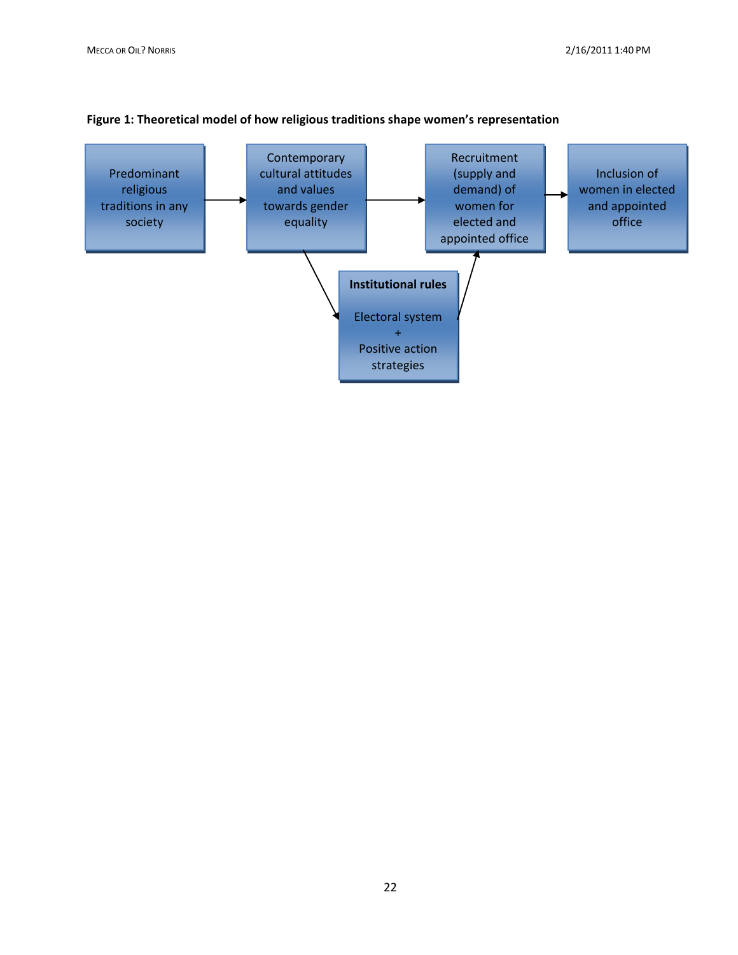

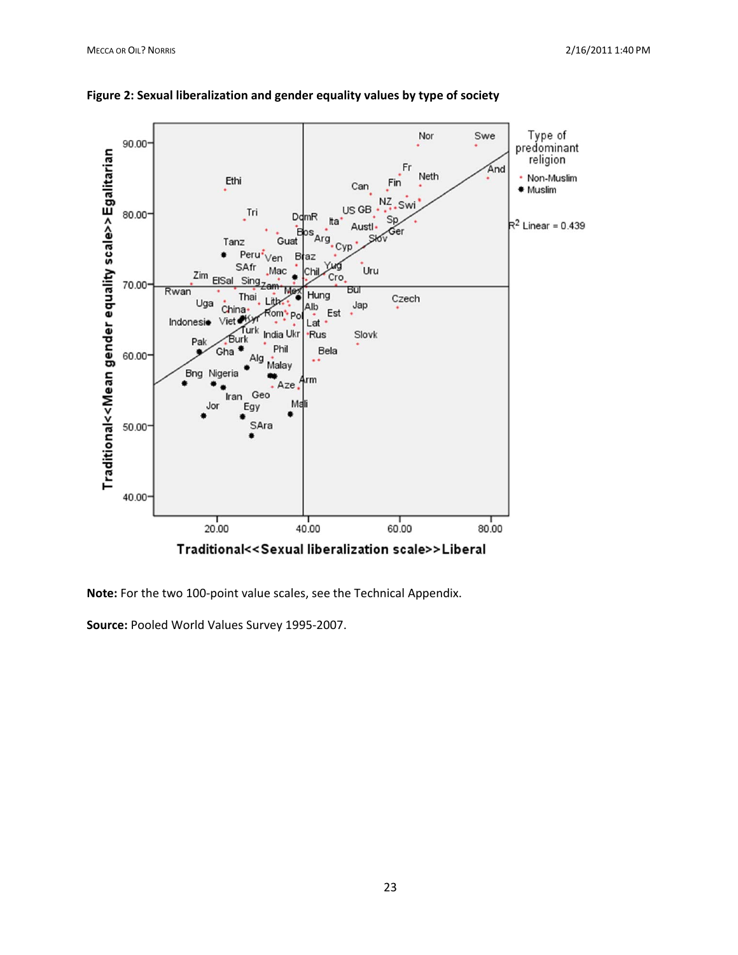



**Note:** For the two 100‐point value scales, see the Technical Appendix.

**Source:** Pooled World Values Survey 1995‐2007.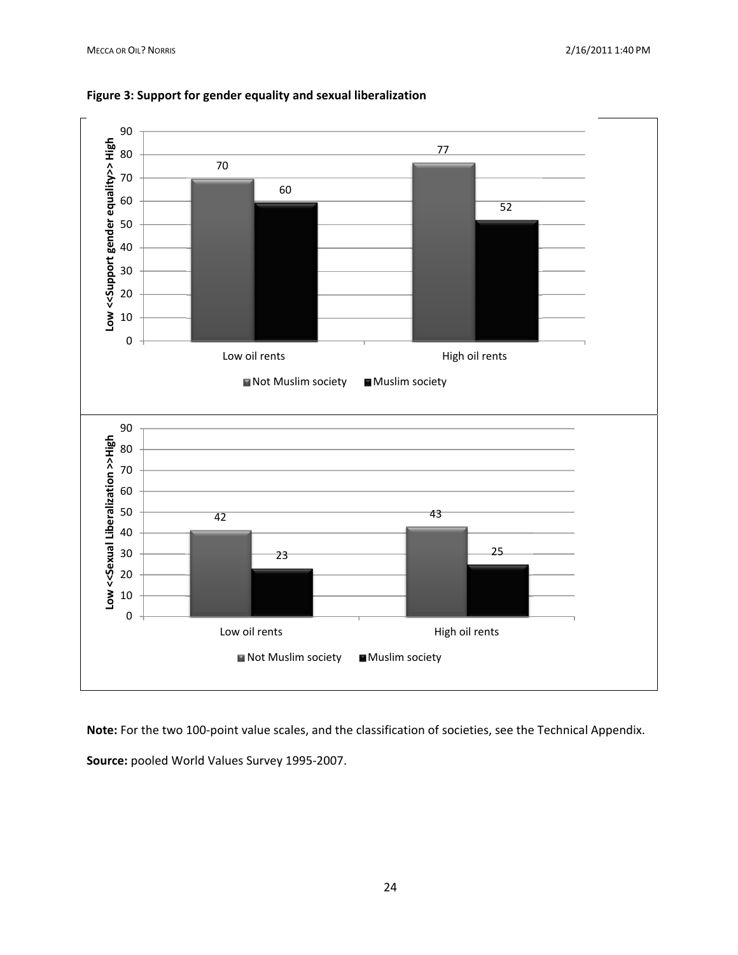



**Note:** For the two 100‐point value scales, and the classification of societies, see the Technical Appendix. **Source:** pooled World Values Survey 1995‐2007.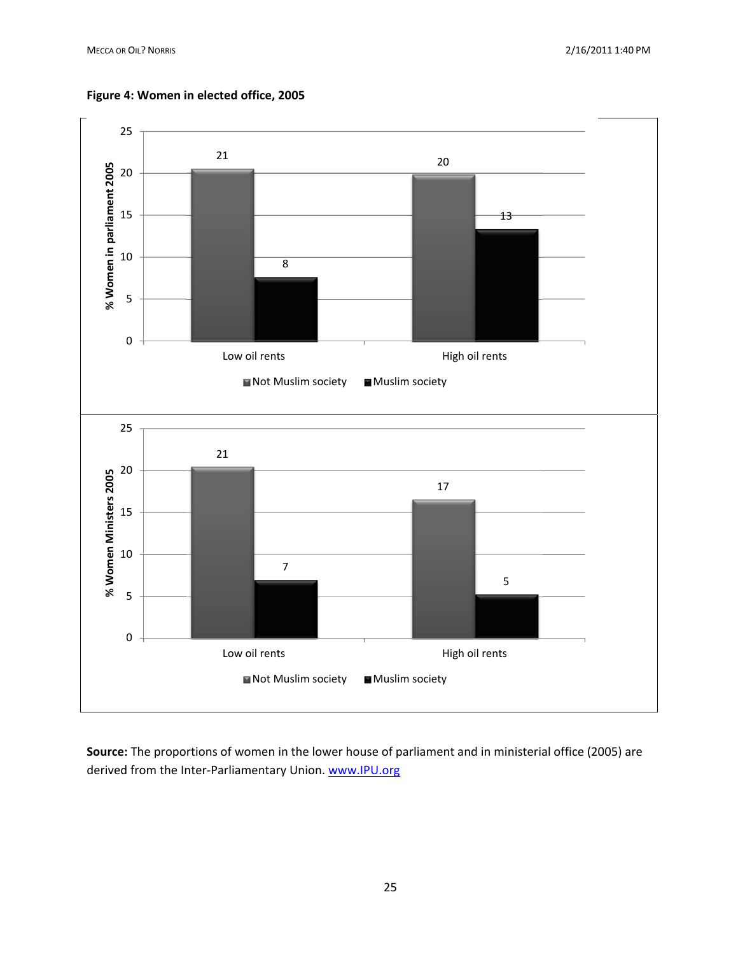



**Source:** The proportions of women in the lower house of parliament and in ministerial office (2005) are derived from the Inter‐Parliamentary Union. www.IPU.org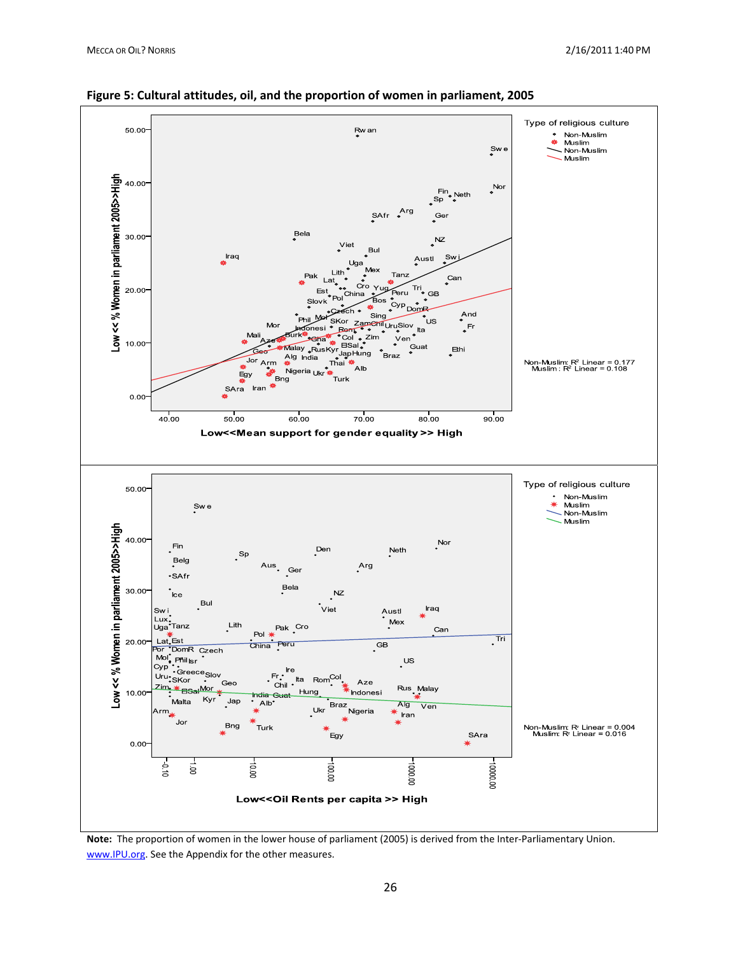



**Note:** The proportion of women in the lower house of parliament (2005) is derived from the Inter‐Parliamentary Union. www.IPU.org. See the Appendix for the other measures.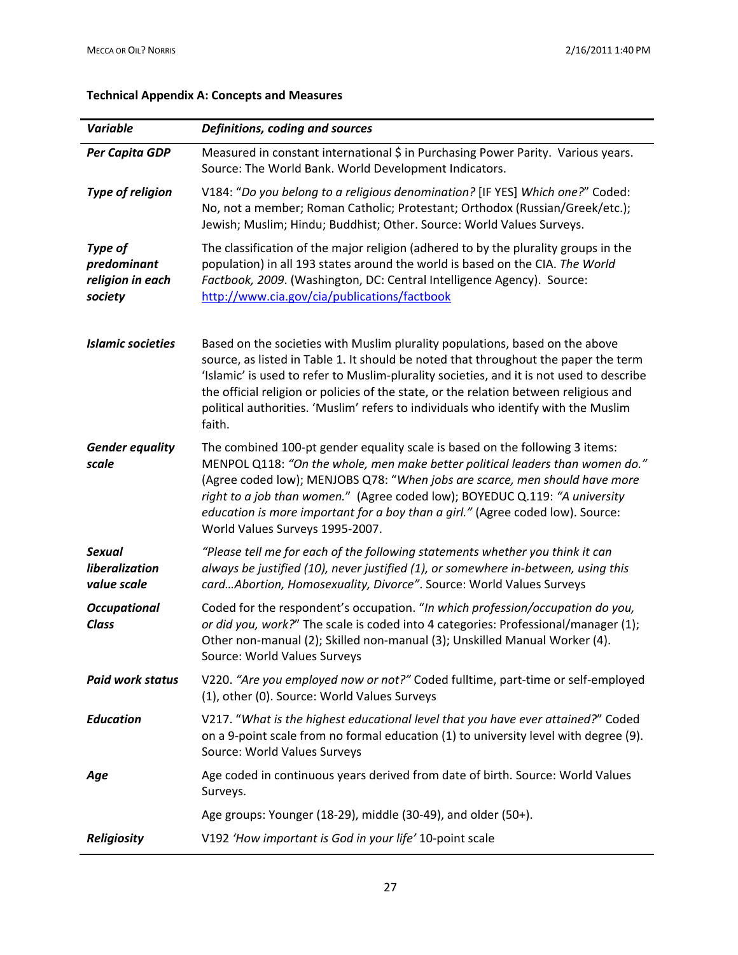| <b>Variable</b>                                              | Definitions, coding and sources                                                                                                                                                                                                                                                                                                                                                                                                                          |
|--------------------------------------------------------------|----------------------------------------------------------------------------------------------------------------------------------------------------------------------------------------------------------------------------------------------------------------------------------------------------------------------------------------------------------------------------------------------------------------------------------------------------------|
| Per Capita GDP                                               | Measured in constant international \$ in Purchasing Power Parity. Various years.<br>Source: The World Bank. World Development Indicators.                                                                                                                                                                                                                                                                                                                |
| <b>Type of religion</b>                                      | V184: "Do you belong to a religious denomination? [IF YES] Which one?" Coded:<br>No, not a member; Roman Catholic; Protestant; Orthodox (Russian/Greek/etc.);<br>Jewish; Muslim; Hindu; Buddhist; Other. Source: World Values Surveys.                                                                                                                                                                                                                   |
| <b>Type of</b><br>predominant<br>religion in each<br>society | The classification of the major religion (adhered to by the plurality groups in the<br>population) in all 193 states around the world is based on the CIA. The World<br>Factbook, 2009. (Washington, DC: Central Intelligence Agency). Source:<br>http://www.cia.gov/cia/publications/factbook                                                                                                                                                           |
| <b>Islamic societies</b>                                     | Based on the societies with Muslim plurality populations, based on the above<br>source, as listed in Table 1. It should be noted that throughout the paper the term<br>'Islamic' is used to refer to Muslim-plurality societies, and it is not used to describe<br>the official religion or policies of the state, or the relation between religious and<br>political authorities. 'Muslim' refers to individuals who identify with the Muslim<br>faith. |
| <b>Gender equality</b><br>scale                              | The combined 100-pt gender equality scale is based on the following 3 items:<br>MENPOL Q118: "On the whole, men make better political leaders than women do."<br>(Agree coded low); MENJOBS Q78: "When jobs are scarce, men should have more<br>right to a job than women." (Agree coded low); BOYEDUC Q.119: "A university<br>education is more important for a boy than a girl." (Agree coded low). Source:<br>World Values Surveys 1995-2007.         |
| <b>Sexual</b><br>liberalization<br>value scale               | "Please tell me for each of the following statements whether you think it can<br>always be justified (10), never justified (1), or somewhere in-between, using this<br>cardAbortion, Homosexuality, Divorce". Source: World Values Surveys                                                                                                                                                                                                               |
| <b>Occupational</b><br><b>Class</b>                          | Coded for the respondent's occupation. "In which profession/occupation do you,<br>or did you, work?" The scale is coded into 4 categories: Professional/manager (1);<br>Other non-manual (2); Skilled non-manual (3); Unskilled Manual Worker (4).<br>Source: World Values Surveys                                                                                                                                                                       |
| <b>Paid work status</b>                                      | V220. "Are you employed now or not?" Coded fulltime, part-time or self-employed<br>(1), other (0). Source: World Values Surveys                                                                                                                                                                                                                                                                                                                          |
| <b>Education</b>                                             | V217. "What is the highest educational level that you have ever attained?" Coded<br>on a 9-point scale from no formal education (1) to university level with degree (9).<br>Source: World Values Surveys                                                                                                                                                                                                                                                 |
| Age                                                          | Age coded in continuous years derived from date of birth. Source: World Values<br>Surveys.                                                                                                                                                                                                                                                                                                                                                               |
|                                                              | Age groups: Younger (18-29), middle (30-49), and older (50+).                                                                                                                                                                                                                                                                                                                                                                                            |
| <b>Religiosity</b>                                           | V192 'How important is God in your life' 10-point scale                                                                                                                                                                                                                                                                                                                                                                                                  |

## **Technical Appendix A: Concepts and Measures**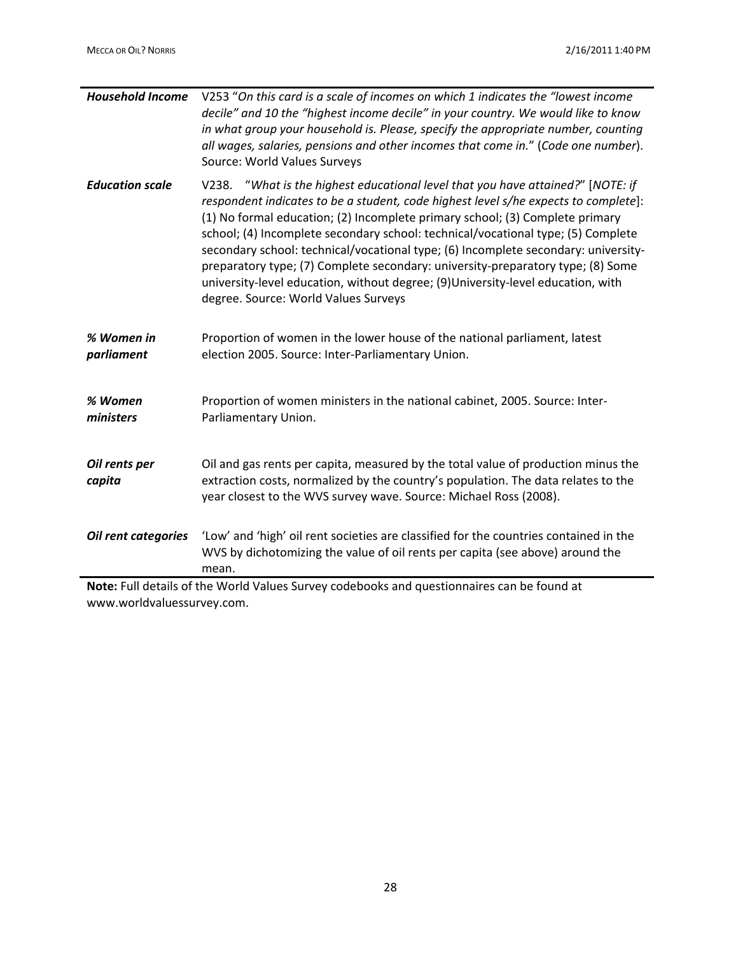| <b>Household Income</b>    | V253 "On this card is a scale of incomes on which 1 indicates the "lowest income<br>decile" and 10 the "highest income decile" in your country. We would like to know<br>in what group your household is. Please, specify the appropriate number, counting<br>all wages, salaries, pensions and other incomes that come in." (Code one number).<br>Source: World Values Surveys                                                                                                                                                                                                                                                                |
|----------------------------|------------------------------------------------------------------------------------------------------------------------------------------------------------------------------------------------------------------------------------------------------------------------------------------------------------------------------------------------------------------------------------------------------------------------------------------------------------------------------------------------------------------------------------------------------------------------------------------------------------------------------------------------|
| <b>Education scale</b>     | V238. "What is the highest educational level that you have attained?" [NOTE: if<br>respondent indicates to be a student, code highest level s/he expects to complete]:<br>(1) No formal education; (2) Incomplete primary school; (3) Complete primary<br>school; (4) Incomplete secondary school: technical/vocational type; (5) Complete<br>secondary school: technical/vocational type; (6) Incomplete secondary: university-<br>preparatory type; (7) Complete secondary: university-preparatory type; (8) Some<br>university-level education, without degree; (9)University-level education, with<br>degree. Source: World Values Surveys |
| % Women in<br>parliament   | Proportion of women in the lower house of the national parliament, latest<br>election 2005. Source: Inter-Parliamentary Union.                                                                                                                                                                                                                                                                                                                                                                                                                                                                                                                 |
| % Women<br>ministers       | Proportion of women ministers in the national cabinet, 2005. Source: Inter-<br>Parliamentary Union.                                                                                                                                                                                                                                                                                                                                                                                                                                                                                                                                            |
| Oil rents per<br>capita    | Oil and gas rents per capita, measured by the total value of production minus the<br>extraction costs, normalized by the country's population. The data relates to the<br>year closest to the WVS survey wave. Source: Michael Ross (2008).                                                                                                                                                                                                                                                                                                                                                                                                    |
| <b>Oil rent categories</b> | 'Low' and 'high' oil rent societies are classified for the countries contained in the<br>WVS by dichotomizing the value of oil rents per capita (see above) around the<br>mean.<br>Note: Eull details of the Werld Values Survey sedebooks and questionnaires can be found at                                                                                                                                                                                                                                                                                                                                                                  |

**Note:** Full details of the World Values Survey codebooks and questionnaires can be found at www.worldvaluessurvey.com.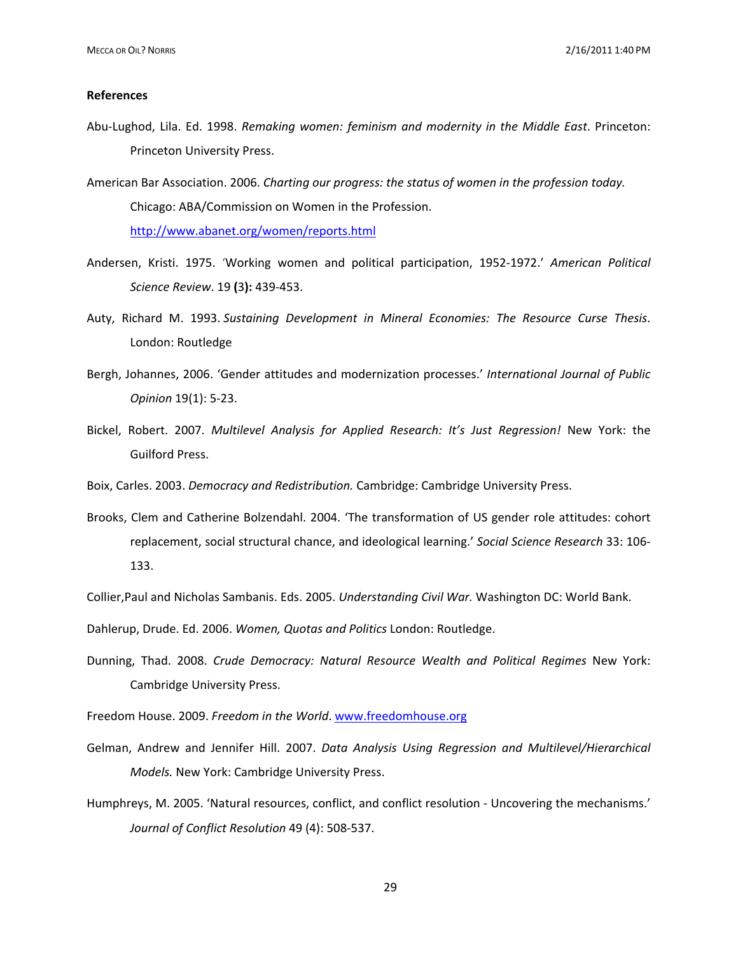#### **References**

Abu‐Lughod, Lila. Ed. 1998. *Remaking women: feminism and modernity in the Middle East*. Princeton: Princeton University Press.

American Bar Association. 2006. *Charting our progress: the status of women in the profession today.* Chicago: ABA/Commission on Women in the Profession. http://www.abanet.org/women/reports.html

- Andersen, Kristi. 1975. 'Working women and political participation, 1952‐1972.' *American Political Science Review*. 19 **(**3**):** 439‐453.
- Auty, Richard M. 1993. *Sustaining Development in Mineral Economies: The Resource Curse Thesis*. London: Routledge
- Bergh, Johannes, 2006. 'Gender attitudes and modernization processes.' *International Journal of Public Opinion* 19(1): 5‐23.
- Bickel, Robert. 2007. *Multilevel Analysis for Applied Research: It's Just Regression!* New York: the Guilford Press.
- Boix, Carles. 2003. *Democracy and Redistribution.* Cambridge: Cambridge University Press.
- Brooks, Clem and Catherine Bolzendahl. 2004. 'The transformation of US gender role attitudes: cohort replacement, social structural chance, and ideological learning.' *Social Science Research* 33: 106‐ 133.
- Collier,Paul and Nicholas Sambanis. Eds. 2005. *Understanding Civil War.* Washington DC: World Bank.

Dahlerup, Drude. Ed. 2006. *Women, Quotas and Politics* London: Routledge.

- Dunning, Thad. 2008. *Crude Democracy: Natural Resource Wealth and Political Regimes* New York: Cambridge University Press.
- Freedom House. 2009. *Freedom in the World*. www.freedomhouse.org
- Gelman, Andrew and Jennifer Hill. 2007. *Data Analysis Using Regression and Multilevel/Hierarchical Models.* New York: Cambridge University Press.
- Humphreys, M. 2005. 'Natural resources, conflict, and conflict resolution ‐ Uncovering the mechanisms.' *Journal of Conflict Resolution* 49 (4): 508‐537.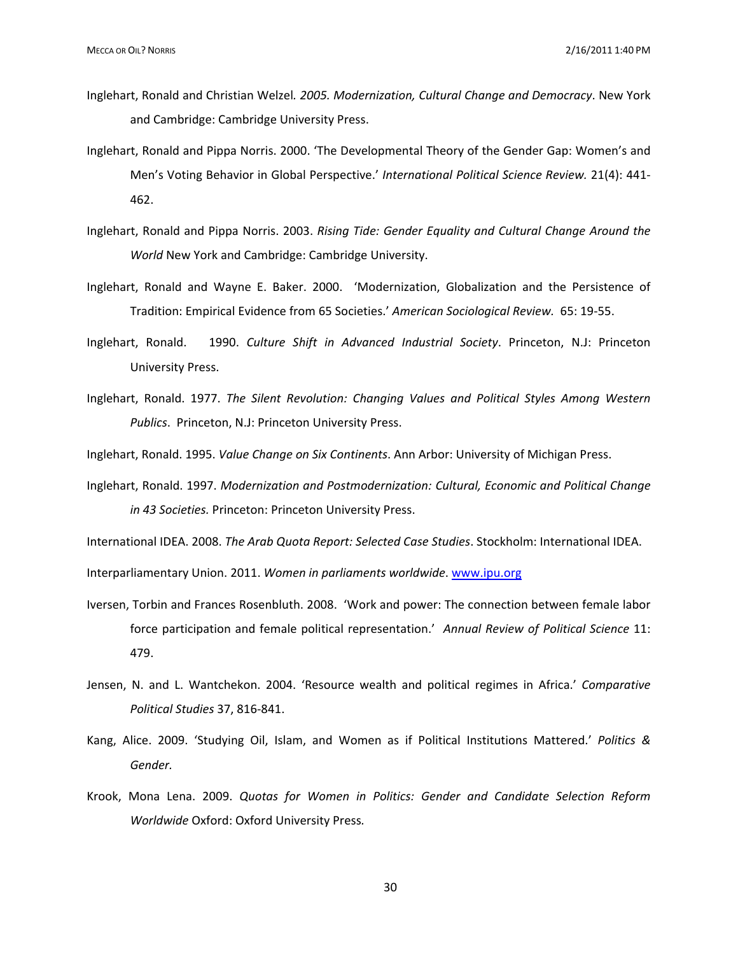- Inglehart, Ronald and Christian Welzel*. 2005. Modernization, Cultural Change and Democracy*. New York and Cambridge: Cambridge University Press.
- Inglehart, Ronald and Pippa Norris. 2000. 'The Developmental Theory of the Gender Gap: Women's and Men's Voting Behavior in Global Perspective.' *International Political Science Review.* 21(4): 441‐ 462.
- Inglehart, Ronald and Pippa Norris. 2003. *Rising Tide: Gender Equality and Cultural Change Around the World* New York and Cambridge: Cambridge University.
- Inglehart, Ronald and Wayne E. Baker. 2000. 'Modernization, Globalization and the Persistence of Tradition: Empirical Evidence from 65 Societies.' *American Sociological Review.* 65: 19‐55.
- Inglehart, Ronald. 1990. *Culture Shift in Advanced Industrial Society*. Princeton, N.J: Princeton University Press.
- Inglehart, Ronald. 1977. *The Silent Revolution: Changing Values and Political Styles Among Western Publics*. Princeton, N.J: Princeton University Press.
- Inglehart, Ronald. 1995. *Value Change on Six Continents*. Ann Arbor: University of Michigan Press.
- Inglehart, Ronald. 1997. *Modernization and Postmodernization: Cultural, Economic and Political Change in 43 Societies.* Princeton: Princeton University Press.

International IDEA. 2008. *The Arab Quota Report: Selected Case Studies*. Stockholm: International IDEA.

Interparliamentary Union. 2011. *Women in parliaments worldwide*. www.ipu.org

- Iversen, Torbin and Frances Rosenbluth. 2008. 'Work and power: The connection between female labor force participation and female political representation.' *Annual Review of Political Science* 11: 479.
- Jensen, N. and L. Wantchekon. 2004. 'Resource wealth and political regimes in Africa.' *Comparative Political Studies* 37, 816‐841.
- Kang, Alice. 2009. 'Studying Oil, Islam, and Women as if Political Institutions Mattered.' *Politics & Gender.*
- Krook, Mona Lena. 2009. *Quotas for Women in Politics: Gender and Candidate Selection Reform Worldwide* Oxford: Oxford University Press*.*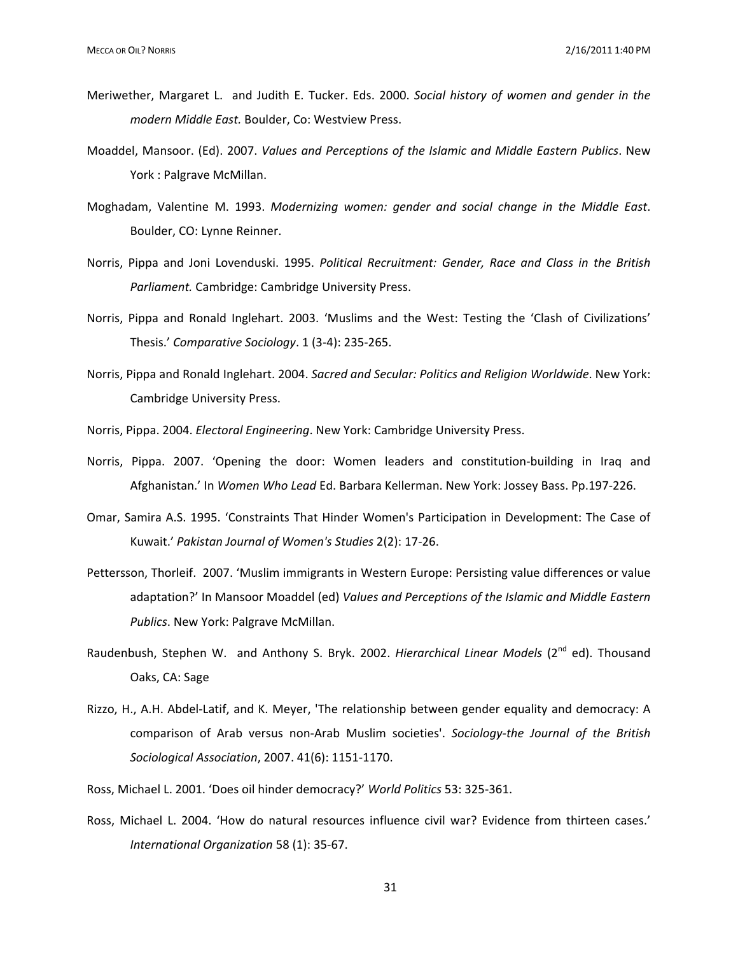- Meriwether, Margaret L. and Judith E. Tucker. Eds. 2000. *Social history of women and gender in the modern Middle East.* Boulder, Co: Westview Press.
- Moaddel, Mansoor. (Ed). 2007. *Values and Perceptions of the Islamic and Middle Eastern Publics*. New York : Palgrave McMillan.
- Moghadam, Valentine M. 1993. *Modernizing women: gender and social change in the Middle East*. Boulder, CO: Lynne Reinner.
- Norris, Pippa and Joni Lovenduski. 1995. *Political Recruitment: Gender, Race and Class in the British Parliament.* Cambridge: Cambridge University Press.
- Norris, Pippa and Ronald Inglehart. 2003. 'Muslims and the West: Testing the 'Clash of Civilizations' Thesis.' *Comparative Sociology*. 1 (3‐4): 235‐265.
- Norris, Pippa and Ronald Inglehart. 2004. *Sacred and Secular: Politics and Religion Worldwide*. New York: Cambridge University Press.
- Norris, Pippa. 2004. *Electoral Engineering*. New York: Cambridge University Press.
- Norris, Pippa. 2007. 'Opening the door: Women leaders and constitution‐building in Iraq and Afghanistan.' In *Women Who Lead* Ed. Barbara Kellerman. New York: Jossey Bass. Pp.197‐226.
- Omar, Samira A.S. 1995. 'Constraints That Hinder Women's Participation in Development: The Case of Kuwait.' *Pakistan Journal of Women's Studies* 2(2): 17‐26.
- Pettersson, Thorleif. 2007. 'Muslim immigrants in Western Europe: Persisting value differences or value adaptation?' In Mansoor Moaddel (ed) *Values and Perceptions of the Islamic and Middle Eastern Publics*. New York: Palgrave McMillan.
- Raudenbush, Stephen W. and Anthony S. Bryk. 2002. *Hierarchical Linear Models* (2nd ed). Thousand Oaks, CA: Sage
- Rizzo, H., A.H. Abdel‐Latif, and K. Meyer, 'The relationship between gender equality and democracy: A comparison of Arab versus non‐Arab Muslim societies'. *Sociology‐the Journal of the British Sociological Association*, 2007. 41(6): 1151‐1170.
- Ross, Michael L. 2001. 'Does oil hinder democracy?' *World Politics* 53: 325‐361.
- Ross, Michael L. 2004. 'How do natural resources influence civil war? Evidence from thirteen cases.' *International Organization* 58 (1): 35‐67.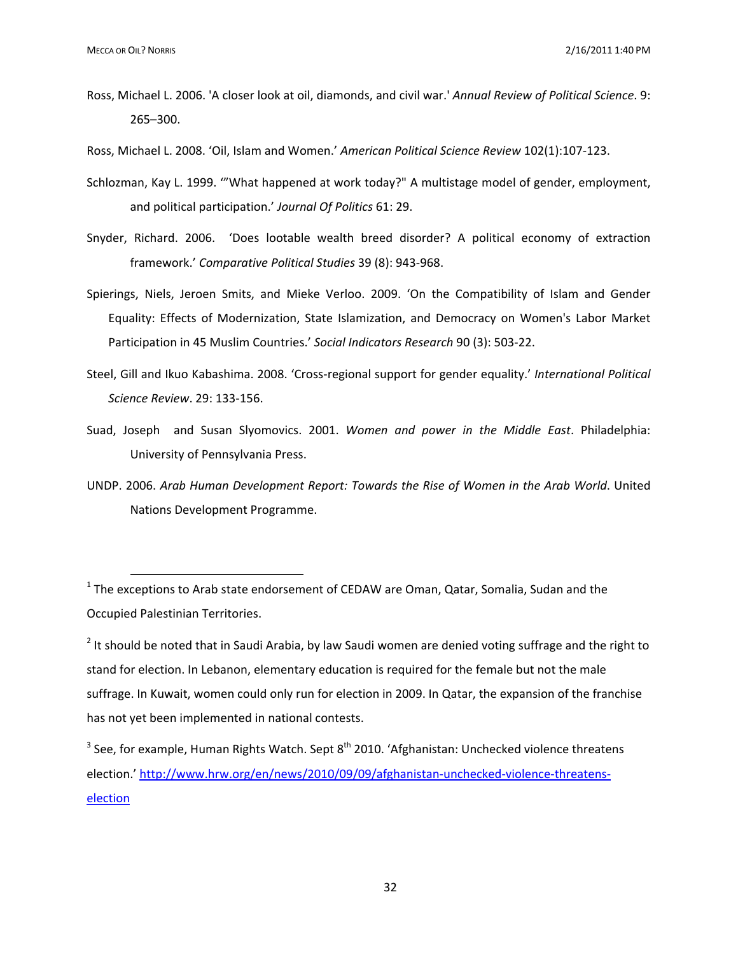Ross, Michael L. 2006. 'A closer look at oil, diamonds, and civil war.' *Annual Review of Political Science*. 9: 265–300.

Ross, Michael L. 2008. 'Oil, Islam and Women.' *American Political Science Review* 102(1):107‐123.

- Schlozman, Kay L. 1999. '"What happened at work today?" A multistage model of gender, employment, and political participation.' *Journal Of Politics* 61: 29.
- Snyder, Richard. 2006. 'Does lootable wealth breed disorder? A political economy of extraction framework.' *Comparative Political Studies* 39 (8): 943‐968.
- Spierings, Niels, Jeroen Smits, and Mieke Verloo. 2009. 'On the Compatibility of Islam and Gender Equality: Effects of Modernization, State Islamization, and Democracy on Women's Labor Market Participation in 45 Muslim Countries.' *Social Indicators Research* 90 (3): 503‐22.
- Steel, Gill and Ikuo Kabashima. 2008. 'Cross‐regional support for gender equality.' *International Political Science Review*. 29: 133‐156.
- Suad, Joseph and Susan Slyomovics. 2001. *Women and power in the Middle East*. Philadelphia: University of Pennsylvania Press.
- UNDP. 2006. *Arab Human Development Report: Towards the Rise of Women in the Arab World*. United Nations Development Programme.

 $2$  It should be noted that in Saudi Arabia, by law Saudi women are denied voting suffrage and the right to stand for election. In Lebanon, elementary education is required for the female but not the male suffrage. In Kuwait, women could only run for election in 2009. In Qatar, the expansion of the franchise has not yet been implemented in national contests.

 $1$  The exceptions to Arab state endorsement of CEDAW are Oman, Qatar, Somalia, Sudan and the Occupied Palestinian Territories.

 $3$  See, for example, Human Rights Watch. Sept  $8^{th}$  2010. 'Afghanistan: Unchecked violence threatens election.' http://www.hrw.org/en/news/2010/09/09/afghanistan-unchecked-violence-threatenselection